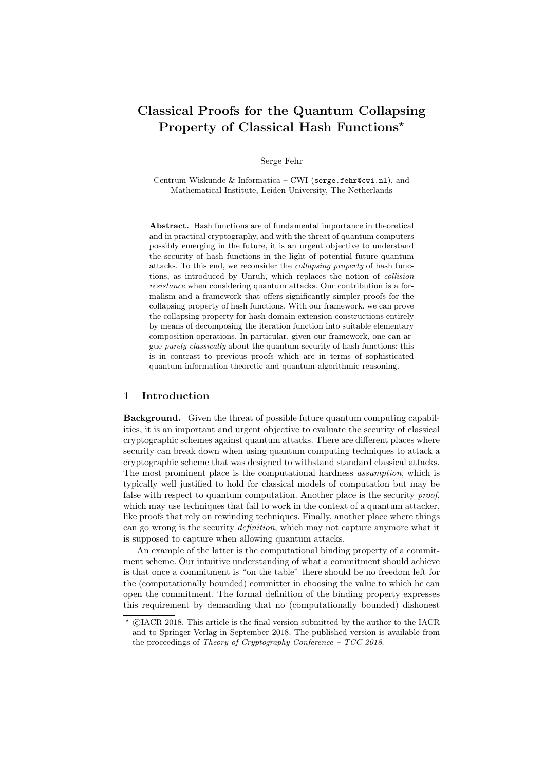# Classical Proofs for the Quantum Collapsing Property of Classical Hash Functions\*

Serge Fehr

Centrum Wiskunde & Informatica – CWI (serge.fehr@cwi.nl), and Mathematical Institute, Leiden University, The Netherlands

Abstract. Hash functions are of fundamental importance in theoretical and in practical cryptography, and with the threat of quantum computers possibly emerging in the future, it is an urgent objective to understand the security of hash functions in the light of potential future quantum attacks. To this end, we reconsider the collapsing property of hash functions, as introduced by Unruh, which replaces the notion of collision resistance when considering quantum attacks. Our contribution is a formalism and a framework that offers significantly simpler proofs for the collapsing property of hash functions. With our framework, we can prove the collapsing property for hash domain extension constructions entirely by means of decomposing the iteration function into suitable elementary composition operations. In particular, given our framework, one can argue purely classically about the quantum-security of hash functions; this is in contrast to previous proofs which are in terms of sophisticated quantum-information-theoretic and quantum-algorithmic reasoning.

# 1 Introduction

Background. Given the threat of possible future quantum computing capabilities, it is an important and urgent objective to evaluate the security of classical cryptographic schemes against quantum attacks. There are different places where security can break down when using quantum computing techniques to attack a cryptographic scheme that was designed to withstand standard classical attacks. The most prominent place is the computational hardness assumption, which is typically well justified to hold for classical models of computation but may be false with respect to quantum computation. Another place is the security *proof*, which may use techniques that fail to work in the context of a quantum attacker, like proofs that rely on rewinding techniques. Finally, another place where things can go wrong is the security definition, which may not capture anymore what it is supposed to capture when allowing quantum attacks.

An example of the latter is the computational binding property of a commitment scheme. Our intuitive understanding of what a commitment should achieve is that once a commitment is "on the table" there should be no freedom left for the (computationally bounded) committer in choosing the value to which he can open the commitment. The formal definition of the binding property expresses this requirement by demanding that no (computationally bounded) dishonest

 $^{\star}$  (CIACR 2018. This article is the final version submitted by the author to the IACR and to Springer-Verlag in September 2018. The published version is available from the proceedings of Theory of Cryptography Conference – TCC 2018.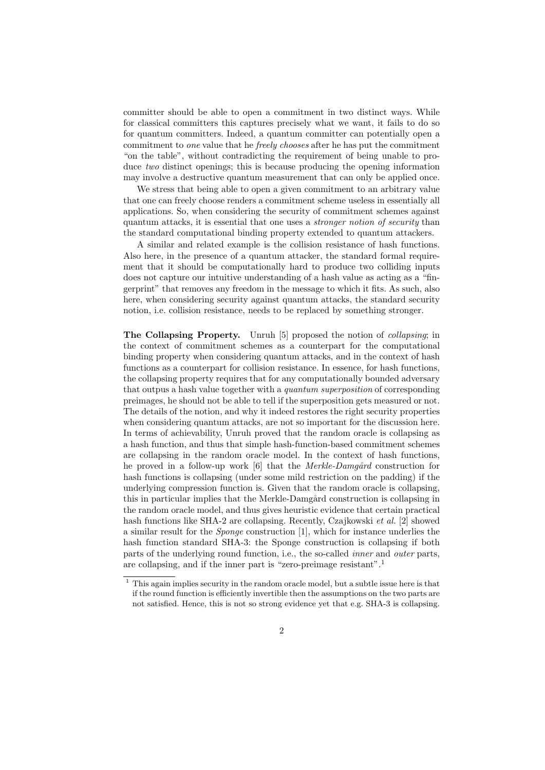committer should be able to open a commitment in two distinct ways. While for classical committers this captures precisely what we want, it fails to do so for quantum committers. Indeed, a quantum committer can potentially open a commitment to one value that he freely chooses after he has put the commitment "on the table", without contradicting the requirement of being unable to produce two distinct openings; this is because producing the opening information may involve a destructive quantum measurement that can only be applied once.

We stress that being able to open a given commitment to an arbitrary value that one can freely choose renders a commitment scheme useless in essentially all applications. So, when considering the security of commitment schemes against quantum attacks, it is essential that one uses a stronger notion of security than the standard computational binding property extended to quantum attackers.

A similar and related example is the collision resistance of hash functions. Also here, in the presence of a quantum attacker, the standard formal requirement that it should be computationally hard to produce two colliding inputs does not capture our intuitive understanding of a hash value as acting as a "fingerprint" that removes any freedom in the message to which it fits. As such, also here, when considering security against quantum attacks, the standard security notion, i.e. collision resistance, needs to be replaced by something stronger.

The Collapsing Property. Unruh [5] proposed the notion of collapsing; in the context of commitment schemes as a counterpart for the computational binding property when considering quantum attacks, and in the context of hash functions as a counterpart for collision resistance. In essence, for hash functions, the collapsing property requires that for any computationally bounded adversary that outpus a hash value together with a *quantum superposition* of corresponding preimages, he should not be able to tell if the superposition gets measured or not. The details of the notion, and why it indeed restores the right security properties when considering quantum attacks, are not so important for the discussion here. In terms of achievability, Unruh proved that the random oracle is collapsing as a hash function, and thus that simple hash-function-based commitment schemes are collapsing in the random oracle model. In the context of hash functions, he proved in a follow-up work  $[6]$  that the *Merkle-Damgård* construction for hash functions is collapsing (under some mild restriction on the padding) if the underlying compression function is. Given that the random oracle is collapsing, this in particular implies that the Merkle-Damgård construction is collapsing in the random oracle model, and thus gives heuristic evidence that certain practical hash functions like SHA-2 are collapsing. Recently, Czajkowski *et al.* [2] showed a similar result for the Sponge construction [1], which for instance underlies the hash function standard SHA-3: the Sponge construction is collapsing if both parts of the underlying round function, i.e., the so-called inner and outer parts, are collapsing, and if the inner part is "zero-preimage resistant".<sup>1</sup>

 $1$  This again implies security in the random oracle model, but a subtle issue here is that if the round function is efficiently invertible then the assumptions on the two parts are not satisfied. Hence, this is not so strong evidence yet that e.g. SHA-3 is collapsing.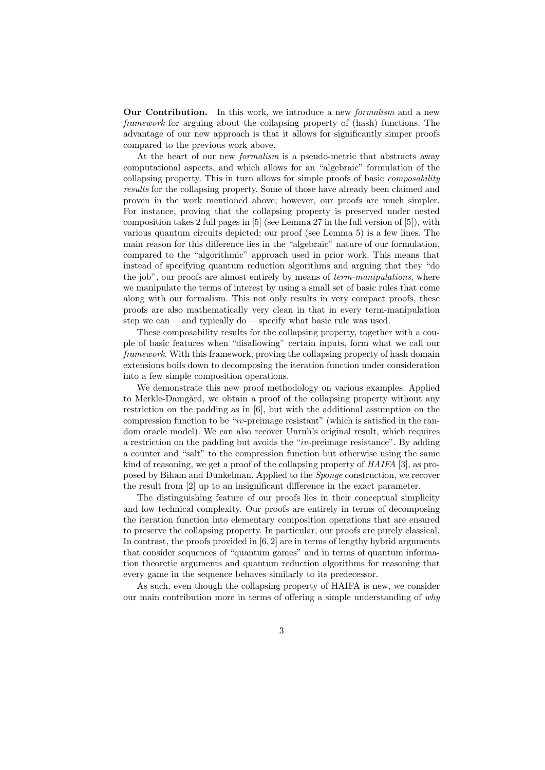**Our Contribution.** In this work, we introduce a new *formalism* and a new framework for arguing about the collapsing property of (hash) functions. The advantage of our new approach is that it allows for significantly simper proofs compared to the previous work above.

At the heart of our new formalism is a pseudo-metric that abstracts away computational aspects, and which allows for an "algebraic" formulation of the collapsing property. This in turn allows for simple proofs of basic composability results for the collapsing property. Some of those have already been claimed and proven in the work mentioned above; however, our proofs are much simpler. For instance, proving that the collapsing property is preserved under nested composition takes 2 full pages in [5] (see Lemma 27 in the full version of [5]), with various quantum circuits depicted; our proof (see Lemma 5) is a few lines. The main reason for this difference lies in the "algebraic" nature of our formulation, compared to the "algorithmic" approach used in prior work. This means that instead of specifying quantum reduction algorithms and arguing that they "do the job", our proofs are almost entirely by means of *term-manipulations*, where we manipulate the terms of interest by using a small set of basic rules that come along with our formalism. This not only results in very compact proofs, these proofs are also mathematically very clean in that in every term-manipulation step we can — and typically do — specify what basic rule was used.

These composability results for the collapsing property, together with a couple of basic features when "disallowing" certain inputs, form what we call our framework. With this framework, proving the collapsing property of hash domain extensions boils down to decomposing the iteration function under consideration into a few simple composition operations.

We demonstrate this new proof methodology on various examples. Applied to Merkle-Damgård, we obtain a proof of the collapsing property without any restriction on the padding as in [6], but with the additional assumption on the compression function to be " $iv$ -preimage resistant" (which is satisfied in the random oracle model). We can also recover Unruh's original result, which requires a restriction on the padding but avoids the "iv-preimage resistance". By adding a counter and "salt" to the compression function but otherwise using the same kind of reasoning, we get a proof of the collapsing property of HAIFA [3], as proposed by Biham and Dunkelman. Applied to the Sponge construction, we recover the result from [2] up to an insignificant difference in the exact parameter.

The distinguishing feature of our proofs lies in their conceptual simplicity and low technical complexity. Our proofs are entirely in terms of decomposing the iteration function into elementary composition operations that are ensured to preserve the collapsing property. In particular, our proofs are purely classical. In contrast, the proofs provided in  $[6, 2]$  are in terms of lengthy hybrid arguments that consider sequences of "quantum games" and in terms of quantum information theoretic arguments and quantum reduction algorithms for reasoning that every game in the sequence behaves similarly to its predecessor.

As such, even though the collapsing property of HAIFA is new, we consider our main contribution more in terms of offering a simple understanding of  $why$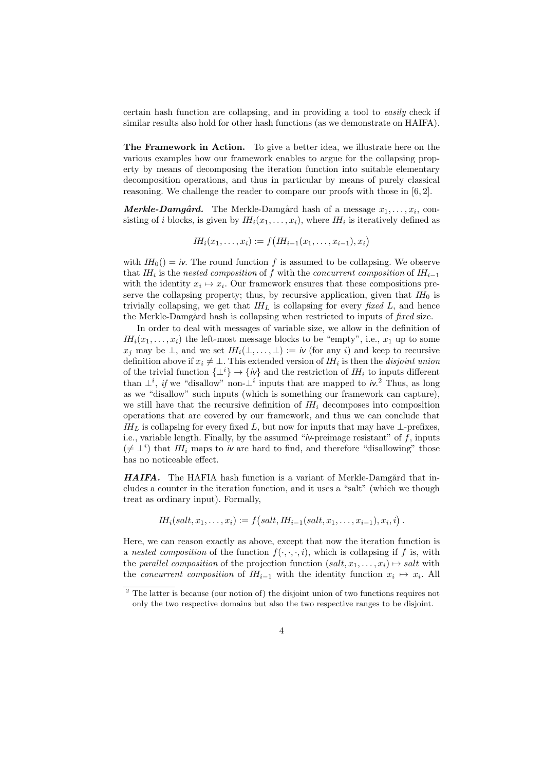certain hash function are collapsing, and in providing a tool to easily check if similar results also hold for other hash functions (as we demonstrate on HAIFA).

The Framework in Action. To give a better idea, we illustrate here on the various examples how our framework enables to argue for the collapsing property by means of decomposing the iteration function into suitable elementary decomposition operations, and thus in particular by means of purely classical reasoning. We challenge the reader to compare our proofs with those in [6, 2].

*Merkle-Damgård.* The Merkle-Damgård hash of a message  $x_1, \ldots, x_i$ , consisting of *i* blocks, is given by  $IH_i(x_1, \ldots, x_i)$ , where  $IH_i$  is iteratively defined as

$$
IH_i(x_1,\ldots,x_i):=f\bigl(H_{i-1}(x_1,\ldots,x_{i-1}),x_i\bigr)
$$

with  $IH_0() = iv$ . The round function f is assumed to be collapsing. We observe that  $H_i$  is the nested composition of f with the concurrent composition of  $H_{i-1}$ with the identity  $x_i \mapsto x_i$ . Our framework ensures that these compositions preserve the collapsing property; thus, by recursive application, given that  $I H_0$  is trivially collapsing, we get that  $I H_L$  is collapsing for every fixed L, and hence the Merkle-Damgård hash is collapsing when restricted to inputs of  $\beta$ ized size.

In order to deal with messages of variable size, we allow in the definition of  $IH_i(x_1,\ldots,x_i)$  the left-most message blocks to be "empty", i.e.,  $x_1$  up to some  $x_j$  may be  $\perp$ , and we set  $IH_i(\perp, \ldots, \perp) := i\nu$  (for any i) and keep to recursive definition above if  $x_i \neq \perp$ . This extended version of  $I H_i$  is then the *disjoint union* of the trivial function  $\{\perp^i\} \rightarrow \{iv\}$  and the restriction of  $IH_i$  to inputs different than  $\perp^i$ , if we "disallow" non- $\perp^i$  inputs that are mapped to  $i\mathcal{v}$ . Thus, as long as we "disallow" such inputs (which is something our framework can capture), we still have that the recursive definition of  $I\!H_i$  decomposes into composition operations that are covered by our framework, and thus we can conclude that  $I H_L$  is collapsing for every fixed L, but now for inputs that may have ⊥-prefixes, i.e., variable length. Finally, by the assumed " $iv$ -preimage resistant" of  $f$ , inputs  $(\neq \perp^i)$  that  $I H_i$  maps to iv are hard to find, and therefore "disallowing" those has no noticeable effect.

HAIFA. The HAFIA hash function is a variant of Merkle-Damgård that includes a counter in the iteration function, and it uses a "salt" (which we though treat as ordinary input). Formally,

$$
IH_i(salt, x_1, \ldots, x_i) := f(salt, IH_{i-1}(salt, x_1, \ldots, x_{i-1}), x_i, i).
$$

Here, we can reason exactly as above, except that now the iteration function is a nested composition of the function  $f(\cdot, \cdot, \cdot, i)$ , which is collapsing if f is, with the parallel composition of the projection function  $(salt, x_1, \ldots, x_i) \mapsto salt$  with the concurrent composition of  $IH_{i-1}$  with the identity function  $x_i \mapsto x_i$ . All

<sup>&</sup>lt;sup>2</sup> The latter is because (our notion of) the disjoint union of two functions requires not only the two respective domains but also the two respective ranges to be disjoint.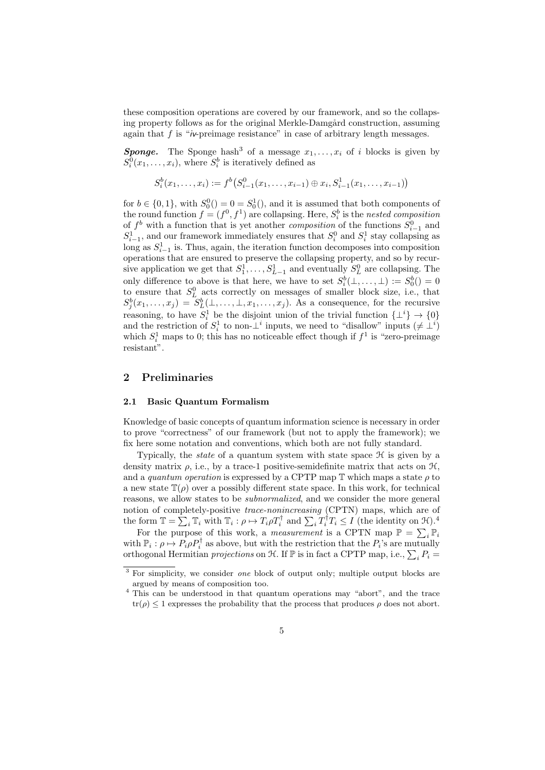these composition operations are covered by our framework, and so the collapsing property follows as for the original Merkle-Damgård construction, assuming again that  $f$  is "iv-preimage resistance" in case of arbitrary length messages.

**Sponge.** The Sponge hash<sup>3</sup> of a message  $x_1, \ldots, x_i$  of i blocks is given by  $S_i^0(x_1,\ldots,x_i)$ , where  $S_i^b$  is iteratively defined as

$$
S_i^b(x_1,\ldots,x_i) := f^b(S_{i-1}^0(x_1,\ldots,x_{i-1}) \oplus x_i, S_{i-1}^1(x_1,\ldots,x_{i-1}))
$$

for  $b \in \{0, 1\}$ , with  $S_0^0() = 0 = S_0^1()$ , and it is assumed that both components of the round function  $f = (f^0, f^1)$  are collapsing. Here,  $S_i^b$  is the nested composition of  $f^b$  with a function that is yet another *composition* of the functions  $S^0_{i-1}$  and  $S_{i-1}^1$ , and our framework immediately ensures that  $S_i^0$  and  $S_i^1$  stay collapsing as long as  $S_{i-1}^1$  is. Thus, again, the iteration function decomposes into composition operations that are ensured to preserve the collapsing property, and so by recursive application we get that  $S_1^1, \ldots, S_{L-1}^1$  and eventually  $S_L^0$  are collapsing. The only difference to above is that here, we have to set  $S_i^b(\perp,\ldots,\perp) := S_0^b() = 0$ to ensure that  $S<sub>L</sub><sup>0</sup>$  acts correctly on messages of smaller block size, i.e., that  $S_j^b(x_1,\ldots,x_j) = S_L^b(\perp,\ldots,\perp,x_1,\ldots,x_j)$ . As a consequence, for the recursive reasoning, to have  $S_i^1$  be the disjoint union of the trivial function  $\{\perp^i\} \to \{0\}$ and the restriction of  $S_i^1$  to non- $\perp^i$  inputs, we need to "disallow" inputs  $(\neq \perp^i)$ which  $S_i^1$  maps to 0; this has no noticeable effect though if  $f^1$  is "zero-preimage resistant".

### 2 Preliminaries

### 2.1 Basic Quantum Formalism

Knowledge of basic concepts of quantum information science is necessary in order to prove "correctness" of our framework (but not to apply the framework); we fix here some notation and conventions, which both are not fully standard.

Typically, the *state* of a quantum system with state space  $H$  is given by a density matrix  $\rho$ , i.e., by a trace-1 positive-semidefinite matrix that acts on  $\mathcal{H}$ . and a quantum operation is expressed by a CPTP map  $\mathbb T$  which maps a state  $\rho$  to a new state  $\mathbb{T}(\rho)$  over a possibly different state space. In this work, for technical reasons, we allow states to be subnormalized, and we consider the more general notion of completely-positive *trace-nonincreasing* (CPTN) maps, which are of the form  $\mathbb{T} = \sum_i \mathbb{T}_i$  with  $\mathbb{T}_i : \rho \mapsto T_i \rho T_i^{\dagger}$  and  $\sum_i T_i^{\dagger} T_i \leq I$  (the identity on  $\mathcal{H}$ ).<sup>4</sup>

For the purpose of this work, a measurement is a CPTN map  $\mathbb{P} = \sum_i \mathbb{P}_i$ with  $\mathbb{P}_i : \rho \mapsto P_i \rho P_i^{\dagger}$  as above, but with the restriction that the  $P_i$ 's are mutually orthogonal Hermitian *projections* on  $\mathfrak{H}$ . If  $\mathbb P$  is in fact a CPTP map, i.e.,  $\sum_i P_i =$ 

<sup>&</sup>lt;sup>3</sup> For simplicity, we consider *one* block of output only; multiple output blocks are argued by means of composition too.

<sup>4</sup> This can be understood in that quantum operations may "abort", and the trace  $tr(\rho) < 1$  expresses the probability that the process that produces  $\rho$  does not abort.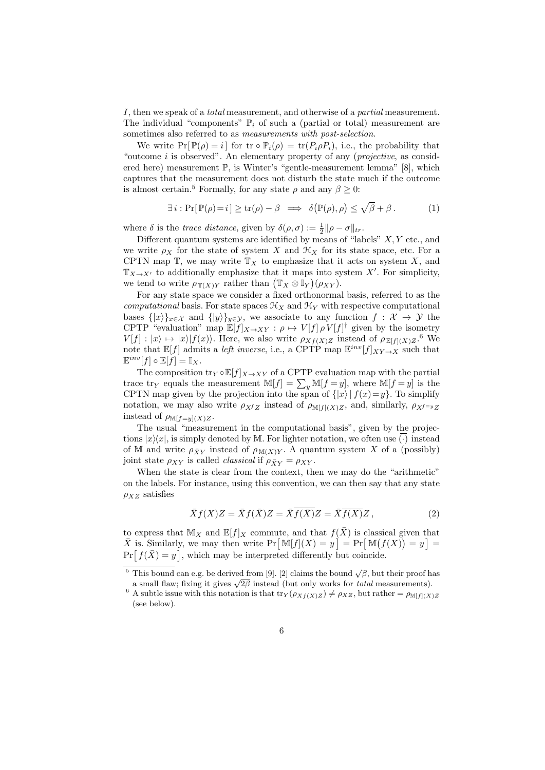I, then we speak of a *total* measurement, and otherwise of a *partial* measurement. The individual "components"  $\mathbb{P}_i$  of such a (partial or total) measurement are sometimes also referred to as measurements with post-selection.

We write  $Pr[\mathbb{P}(\rho) = i]$  for tr  $\circ \mathbb{P}_i(\rho) = tr(P_i \rho P_i)$ , i.e., the probability that "outcome i is observed". An elementary property of any (*projective*, as considered here) measurement P, is Winter's "gentle-measurement lemma" [8], which captures that the measurement does not disturb the state much if the outcome is almost certain.<sup>5</sup> Formally, for any state  $\rho$  and any  $\beta > 0$ :

$$
\exists i : \Pr[\mathbb{P}(\rho) = i] \ge \text{tr}(\rho) - \beta \implies \delta(\mathbb{P}(\rho), \rho) \le \sqrt{\beta} + \beta. \tag{1}
$$

where  $\delta$  is the *trace distance*, given by  $\delta(\rho, \sigma) := \frac{1}{2} ||\rho - \sigma||_{tr}$ .

Different quantum systems are identified by means of "labels"  $X, Y$  etc., and we write  $\rho_X$  for the state of system X and  $\mathcal{H}_X$  for its state space, etc. For a CPTN map  $\mathbb{T}$ , we may write  $\mathbb{T}_X$  to emphasize that it acts on system X, and  $\mathbb{T}_{X\to X'}$  to additionally emphasize that it maps into system X'. For simplicity, we tend to write  $\rho_{\mathbb{T}(X)Y}$  rather than  $(\mathbb{T}_X \otimes \mathbb{I}_Y)(\rho_{XY})$ .

For any state space we consider a fixed orthonormal basis, referred to as the computational basis. For state spaces  $\mathcal{H}_X$  and  $\mathcal{H}_Y$  with respective computational bases  $\{|x\rangle\}_{x\in\mathcal{X}}$  and  $\{|y\rangle\}_{y\in\mathcal{Y}}$ , we associate to any function  $f: \mathcal{X} \to \mathcal{Y}$  the CPTP "evaluation" map  $\mathbb{E}[f]_{X\to XY} : \rho \mapsto V[f] \rho V[f]^{\dagger}$  given by the isometry  $V[f] : |x\rangle \mapsto |x\rangle |f(x)\rangle$ . Here, we also write  $\rho_{Xf(X)Z}$  instead of  $\rho_{E[f](X)Z}$ .<sup>6</sup> We note that  $\mathbb{E}[f]$  admits a *left inverse*, i.e., a CPTP map  $\mathbb{E}^{inv}[f]_{XY\to X}$  such that  $\mathbb{E}^{inv}[f] \circ \mathbb{E}[f] = \mathbb{I}_X.$ 

The composition  $\mathrm{tr}_Y \circ \mathbb{E}[f]_{X\to XY}$  of a CPTP evaluation map with the partial trace try equals the measurement  $\mathbb{M}[f] = \sum_{y} \mathbb{M}[f = y]$ , where  $\mathbb{M}[f = y]$  is the CPTN map given by the projection into the span of  $\{|x\rangle | f(x)=y\}$ . To simplify notation, we may also write  $\rho_{XfZ}$  instead of  $\rho_{\mathbb{M}[f](X)Z}$ , and, similarly,  $\rho_{Xf=yZ}$ instead of  $\rho_{\mathbb{M}[f=y](X)Z}$ .

The usual "measurement in the computational basis", given by the projections  $|x\rangle\langle x|$ , is simply denoted by M. For lighter notation, we often use (·) instead of M and write  $\rho_{\bar{X}Y}$  instead of  $\rho_{\mathbb{M}(X)Y}$ . A quantum system X of a (possibly) joint state  $\rho_{XY}$  is called *classical* if  $\rho_{\bar{X}Y} = \rho_{XY}$ .

When the state is clear from the context, then we may do the "arithmetic" on the labels. For instance, using this convention, we can then say that any state  $\rho_{XZ}$  satisfies

$$
\bar{X}f(X)Z = \bar{X}f(\bar{X})Z = \bar{X}\overline{f(\bar{X})}Z = \bar{X}\overline{f(X)}Z, \qquad (2)
$$

to express that  $\mathbb{M}_X$  and  $\mathbb{E}[f]_X$  commute, and that  $f(\bar{X})$  is classical given that  $\bar{X}$  is. Similarly, we may then write  $Pr[M[f](X) = y] = Pr[M(f(X))] = y$  $Pr[f(\bar{X}) = y]$ , which may be interpreted differently but coincide.

<sup>&</sup>lt;sup>5</sup> This bound can e.g. be derived from [9]. [2] claims the bound  $\sqrt{\beta}$ , but their proof has This bound can e.g. be derived from [9]. [2] claims the bound  $\sqrt{\rho}$ , but then proof in a small flaw; fixing it gives  $\sqrt{2\beta}$  instead (but only works for *total* measurements).

 $^6$  A subtle issue with this notation is that  $\text{tr}_Y(\rho_{Xf(X)Z}) \neq \rho_{XZ}$ , but rather =  $\rho_{\mathbb{M}[f](X)Z}$ (see below).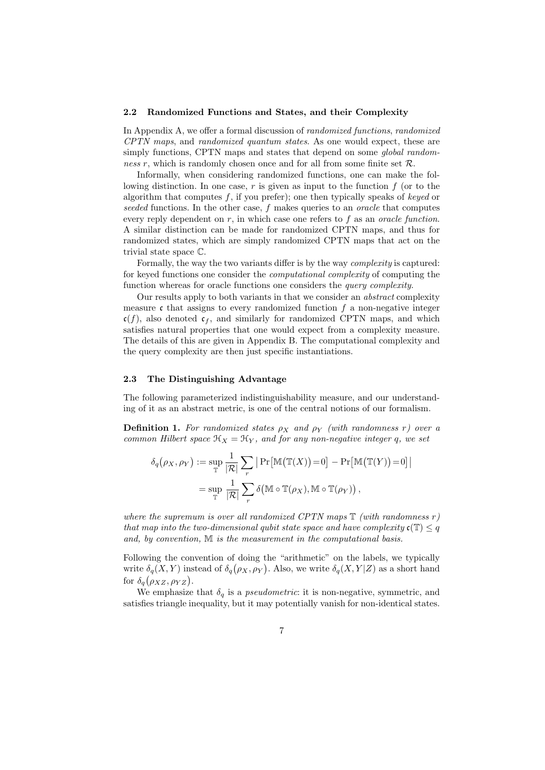#### 2.2 Randomized Functions and States, and their Complexity

In Appendix A, we offer a formal discussion of randomized functions, randomized CPTN maps, and randomized quantum states. As one would expect, these are simply functions, CPTN maps and states that depend on some *global random*ness r, which is randomly chosen once and for all from some finite set  $\mathcal{R}$ .

Informally, when considering randomized functions, one can make the following distinction. In one case, r is given as input to the function  $f$  (or to the algorithm that computes f, if you prefer); one then typically speaks of keyed or seeded functions. In the other case, f makes queries to an *oracle* that computes every reply dependent on  $r$ , in which case one refers to  $f$  as an *oracle function*. A similar distinction can be made for randomized CPTN maps, and thus for randomized states, which are simply randomized CPTN maps that act on the trivial state space C.

Formally, the way the two variants differ is by the way complexity is captured: for keyed functions one consider the computational complexity of computing the function whereas for oracle functions one considers the query complexity.

Our results apply to both variants in that we consider an abstract complexity measure c that assigns to every randomized function f a non-negative integer  $c(f)$ , also denoted  $c_f$ , and similarly for randomized CPTN maps, and which satisfies natural properties that one would expect from a complexity measure. The details of this are given in Appendix B. The computational complexity and the query complexity are then just specific instantiations.

# 2.3 The Distinguishing Advantage

The following parameterized indistinguishability measure, and our understanding of it as an abstract metric, is one of the central notions of our formalism.

**Definition 1.** For randomized states  $\rho_X$  and  $\rho_Y$  (with randomness r) over a common Hilbert space  $\mathcal{H}_X = \mathcal{H}_Y$ , and for any non-negative integer q, we set

$$
\delta_q(\rho_X, \rho_Y) := \sup_{\mathbb{T}} \frac{1}{|\mathcal{R}|} \sum_r \left| \Pr[\mathbb{M}(\mathbb{T}(X)) = 0] - \Pr[\mathbb{M}(\mathbb{T}(Y)) = 0] \right|
$$

$$
= \sup_{\mathbb{T}} \frac{1}{|\mathcal{R}|} \sum_r \delta(\mathbb{M} \circ \mathbb{T}(\rho_X), \mathbb{M} \circ \mathbb{T}(\rho_Y)),
$$

where the supremum is over all randomized CPTN maps  $\mathbb T$  (with randomness r) that map into the two-dimensional qubit state space and have complexity  $\mathfrak{c}(\mathbb{T}) \leq q$ and, by convention, M is the measurement in the computational basis.

Following the convention of doing the "arithmetic" on the labels, we typically write  $\delta_q(X, Y)$  instead of  $\delta_q(\rho_X, \rho_Y)$ . Also, we write  $\delta_q(X, Y|Z)$  as a short hand for  $\delta_q(\rho_{XZ}, \rho_{YZ}).$ 

We emphasize that  $\delta_q$  is a *pseudometric*: it is non-negative, symmetric, and satisfies triangle inequality, but it may potentially vanish for non-identical states.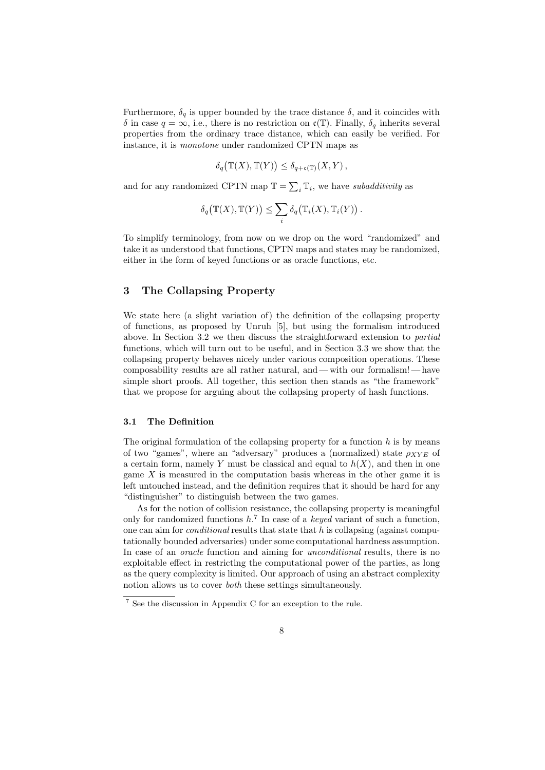Furthermore,  $\delta_q$  is upper bounded by the trace distance  $\delta$ , and it coincides with δ in case  $q = \infty$ , i.e., there is no restriction on  $\mathfrak{c}(\mathbb{T})$ . Finally,  $\delta_q$  inherits several properties from the ordinary trace distance, which can easily be verified. For instance, it is monotone under randomized CPTN maps as

$$
\delta_q(\mathbb{T}(X), \mathbb{T}(Y)) \leq \delta_{q+\mathfrak{c}(\mathbb{T})}(X, Y) ,
$$

and for any randomized CPTN map  $\mathbb{T} = \sum_i \mathbb{T}_i$ , we have *subadditivity* as

$$
\delta_q(\mathbb{T}(X), \mathbb{T}(Y)) \leq \sum_i \delta_q(\mathbb{T}_i(X), \mathbb{T}_i(Y)).
$$

To simplify terminology, from now on we drop on the word "randomized" and take it as understood that functions, CPTN maps and states may be randomized, either in the form of keyed functions or as oracle functions, etc.

### 3 The Collapsing Property

We state here (a slight variation of) the definition of the collapsing property of functions, as proposed by Unruh [5], but using the formalism introduced above. In Section 3.2 we then discuss the straightforward extension to partial functions, which will turn out to be useful, and in Section 3.3 we show that the collapsing property behaves nicely under various composition operations. These composability results are all rather natural, and — with our formalism! — have simple short proofs. All together, this section then stands as "the framework" that we propose for arguing about the collapsing property of hash functions.

### 3.1 The Definition

The original formulation of the collapsing property for a function  $h$  is by means of two "games", where an "adversary" produces a (normalized) state  $\rho_{XYE}$  of a certain form, namely Y must be classical and equal to  $h(X)$ , and then in one game  $X$  is measured in the computation basis whereas in the other game it is left untouched instead, and the definition requires that it should be hard for any "distinguisher" to distinguish between the two games.

As for the notion of collision resistance, the collapsing property is meaningful only for randomized functions  $h$ .<sup>7</sup> In case of a keyed variant of such a function, one can aim for *conditional* results that state that h is collapsing (against computationally bounded adversaries) under some computational hardness assumption. In case of an *oracle* function and aiming for *unconditional* results, there is no exploitable effect in restricting the computational power of the parties, as long as the query complexity is limited. Our approach of using an abstract complexity notion allows us to cover both these settings simultaneously.

<sup>7</sup> See the discussion in Appendix C for an exception to the rule.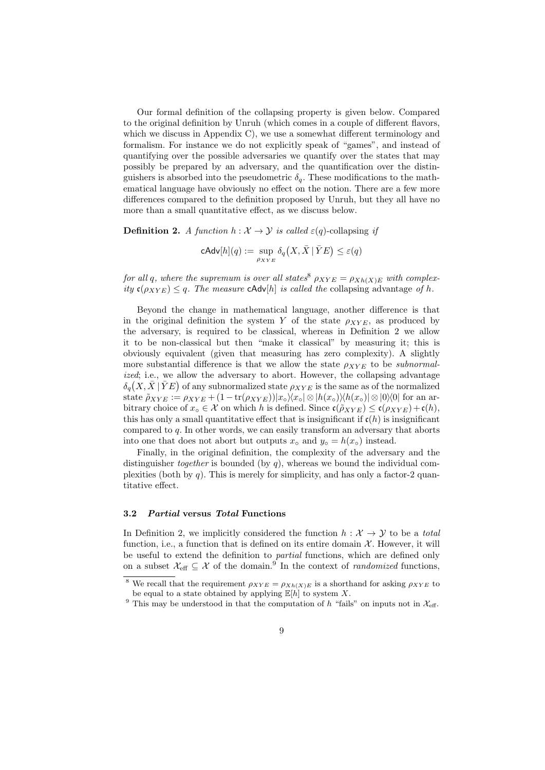Our formal definition of the collapsing property is given below. Compared to the original definition by Unruh (which comes in a couple of different flavors, which we discuss in Appendix C), we use a somewhat different terminology and formalism. For instance we do not explicitly speak of "games", and instead of quantifying over the possible adversaries we quantify over the states that may possibly be prepared by an adversary, and the quantification over the distinguishers is absorbed into the pseudometric  $\delta_q$ . These modifications to the mathematical language have obviously no effect on the notion. There are a few more differences compared to the definition proposed by Unruh, but they all have no more than a small quantitative effect, as we discuss below.

**Definition 2.** A function  $h : \mathcal{X} \to \mathcal{Y}$  is called  $\varepsilon(q)$ -collapsing if

$$
\mathsf{cAdv}[h](q) := \sup_{\rho_{XYE}} \delta_q\big(X, \bar{X} \,|\, \bar{Y}E\big) \leq \varepsilon(q)
$$

for all q, where the supremum is over all states  $\rho_{XYE} = \rho_{Xh(X)E}$  with complexity  $c(\rho_{XYE}) \leq q$ . The measure cAdv[h] is called the collapsing advantage of h.

Beyond the change in mathematical language, another difference is that in the original definition the system Y of the state  $\rho_{XYE}$ , as produced by the adversary, is required to be classical, whereas in Definition 2 we allow it to be non-classical but then "make it classical" by measuring it; this is obviously equivalent (given that measuring has zero complexity). A slightly more substantial difference is that we allow the state  $\rho_{XYE}$  to be subnormalized; i.e., we allow the adversary to abort. However, the collapsing advantage  $\delta_q(X, \bar{X} | \bar{Y}E)$  of any subnormalized state  $\rho_{XYE}$  is the same as of the normalized state  $\tilde{\rho}_{XYE} := \rho_{XYE} + (1 - \text{tr}(\rho_{XYE}))|x_\circ\rangle\langle x_\circ| \otimes |h(x_\circ)\rangle\langle h(x_\circ)| \otimes |0\rangle\langle 0|$  for an arbitrary choice of  $x \circ \in \mathcal{X}$  on which h is defined. Since  $\mathfrak{c}(\tilde{\rho}_{XYE}) \leq \mathfrak{c}(\rho_{XYE}) + \mathfrak{c}(h)$ , this has only a small quantitative effect that is insignificant if  $c(h)$  is insignificant compared to q. In other words, we can easily transform an adversary that aborts into one that does not abort but outputs  $x_0$  and  $y_0 = h(x_0)$  instead.

Finally, in the original definition, the complexity of the adversary and the distinguisher *together* is bounded (by q), whereas we bound the individual complexities (both by q). This is merely for simplicity, and has only a factor-2 quantitative effect.

# 3.2 Partial versus Total Functions

In Definition 2, we implicitly considered the function  $h : \mathcal{X} \to \mathcal{Y}$  to be a total function, i.e., a function that is defined on its entire domain  $\mathcal{X}$ . However, it will be useful to extend the definition to partial functions, which are defined only on a subset  $\mathcal{X}_{\text{eff}} \subseteq \mathcal{X}$  of the domain.<sup>9</sup> In the context of *randomized* functions,

<sup>&</sup>lt;sup>8</sup> We recall that the requirement  $\rho_{XYE} = \rho_{Xh(X)E}$  is a shorthand for asking  $\rho_{XYE}$  to be equal to a state obtained by applying  $\mathbb{E}[h]$  to system X.

<sup>&</sup>lt;sup>9</sup> This may be understood in that the computation of h "fails" on inputs not in  $\mathcal{X}_{\text{eff}}$ .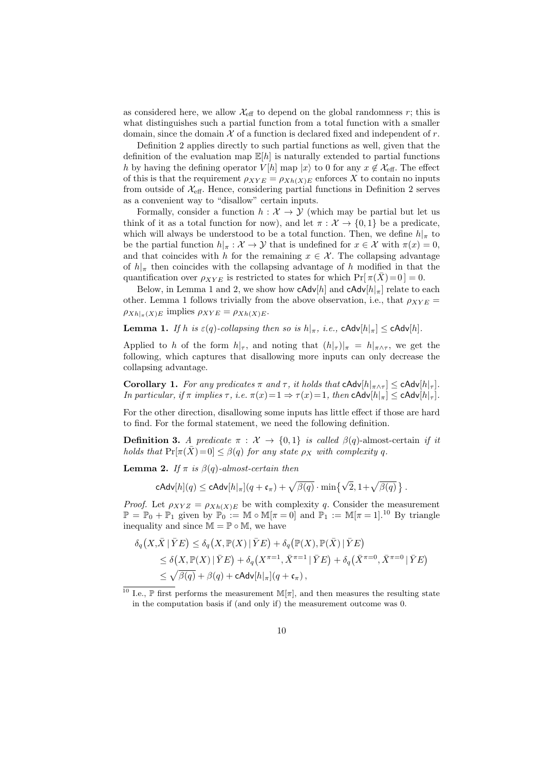as considered here, we allow  $\mathcal{X}_{\text{eff}}$  to depend on the global randomness r; this is what distinguishes such a partial function from a total function with a smaller domain, since the domain  $\mathcal X$  of a function is declared fixed and independent of  $r$ .

Definition 2 applies directly to such partial functions as well, given that the definition of the evaluation map  $\mathbb{E}[h]$  is naturally extended to partial functions h by having the defining operator  $V[h]$  map  $|x\rangle$  to 0 for any  $x \notin \mathcal{X}_{\text{eff}}$ . The effect of this is that the requirement  $\rho_{XYE} = \rho_{Xh(X)E}$  enforces X to contain no inputs from outside of  $\mathcal{X}_{\text{eff}}$ . Hence, considering partial functions in Definition 2 serves as a convenient way to "disallow" certain inputs.

Formally, consider a function  $h : \mathcal{X} \to \mathcal{Y}$  (which may be partial but let us think of it as a total function for now), and let  $\pi : \mathcal{X} \to \{0,1\}$  be a predicate, which will always be understood to be a total function. Then, we define  $h|_{\pi}$  to be the partial function  $h|_{\pi}: \mathcal{X} \to \mathcal{Y}$  that is undefined for  $x \in \mathcal{X}$  with  $\pi(x) = 0$ , and that coincides with h for the remaining  $x \in \mathcal{X}$ . The collapsing advantage of  $h|_{\pi}$  then coincides with the collapsing advantage of h modified in that the quantification over  $\rho_{XYE}$  is restricted to states for which  $\Pr[\pi(\bar{X})=0] = 0$ .

Below, in Lemma 1 and 2, we show how cAdv[h] and cAdv[h]<sub>π</sub>] relate to each other. Lemma 1 follows trivially from the above observation, i.e., that  $\rho_{XYE} =$  $\rho_{Xh|_{\pi}(X)E}$  implies  $\rho_{XYE} = \rho_{Xh(X)E}$ .

**Lemma 1.** If h is  $\varepsilon(q)$ -collapsing then so is  $h|_{\pi}$ , i.e.,  $c$ Adv $[h]_{\pi}$   $\leq$   $c$ Adv $[h]$ .

Applied to h of the form  $h|_{\tau}$ , and noting that  $(h|_{\tau})|_{\pi} = h|_{\pi \wedge \tau}$ , we get the following, which captures that disallowing more inputs can only decrease the collapsing advantage.

**Corollary 1.** For any predicates  $\pi$  and  $\tau$ , it holds that  $\text{cAdv}[h|_{\pi\wedge\tau}] \leq \text{cAdv}[h|_{\tau}].$ In particular, if  $\pi$  implies  $\tau$ , i.e.  $\pi(x)=1 \Rightarrow \tau(x)=1$ , then  $\text{cAdv}[h|_{\pi}] \leq \text{cAdv}[h|_{\tau}]$ .

For the other direction, disallowing some inputs has little effect if those are hard to find. For the formal statement, we need the following definition.

**Definition 3.** A predicate  $\pi$  :  $\mathcal{X} \rightarrow \{0,1\}$  is called  $\beta(q)$ -almost-certain if it holds that  $Pr[\pi(\bar{X})=0] \leq \beta(q)$  for any state  $\rho_X$  with complexity q.

**Lemma 2.** If  $\pi$  is  $\beta(q)$ -almost-certain then

$$
\mathsf{cAdv}[h](q) \leq \mathsf{cAdv}[h|_\pi](q + \mathfrak{c}_\pi) + \sqrt{\beta(q)} \cdot \min\left\{\sqrt{2}, 1 + \sqrt{\beta(q)}\right\}.
$$

*Proof.* Let  $\rho_{XYZ} = \rho_{Xh(X)E}$  be with complexity q. Consider the measurement  $\mathbb{P} = \mathbb{P}_0 + \mathbb{P}_1$  given by  $\mathbb{P}_0 := \mathbb{M} \circ \mathbb{M}[\pi = 0]$  and  $\mathbb{P}_1 := \mathbb{M}[\pi = 1]$ .<sup>10</sup> By triangle inequality and since  $M = \mathbb{P} \circ M$ , we have

$$
\delta_q(X, \bar{X} | \bar{Y}E) \le \delta_q(X, \mathbb{P}(X) | \bar{Y}E) + \delta_q(\mathbb{P}(X), \mathbb{P}(\bar{X}) | \bar{Y}E)
$$
  
\n
$$
\le \delta(X, \mathbb{P}(X) | \bar{Y}E) + \delta_q(X^{\pi=1}, \bar{X}^{\pi=1} | \bar{Y}E) + \delta_q(\bar{X}^{\pi=0}, \bar{X}^{\pi=0} | \bar{Y}E)
$$
  
\n
$$
\le \sqrt{\beta(q)} + \beta(q) + \text{cAdv}[h|_{\pi}](q + \mathfrak{c}_{\pi}),
$$

<sup>&</sup>lt;sup>10</sup> I.e.,  $\mathbb P$  first performs the measurement  $\mathbb M[\pi]$ , and then measures the resulting state in the computation basis if (and only if) the measurement outcome was 0.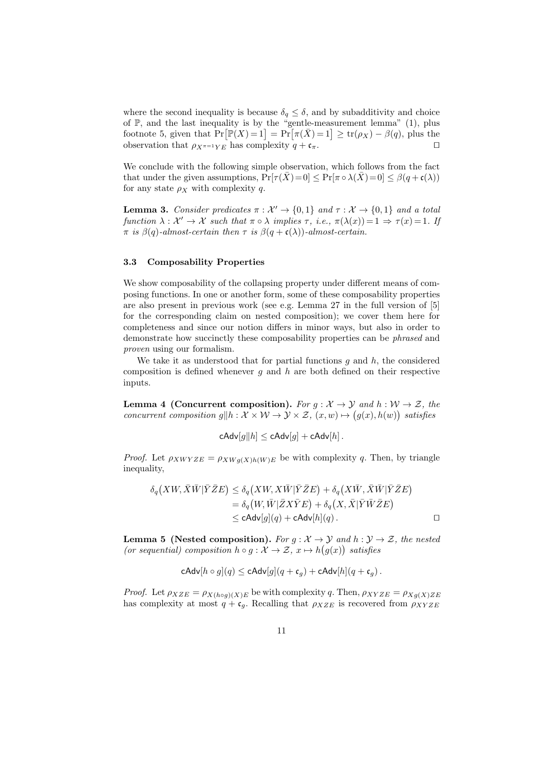where the second inequality is because  $\delta_q \leq \delta$ , and by subadditivity and choice of  $\mathbb{P}$ , and the last inequality is by the "gentle-measurement lemma" (1), plus footnote 5, given that  $Pr[\mathbb{P}(X)=1] = Pr[\pi(\bar{X})=1] \geq tr(\rho_X) - \beta(q)$ , plus the observation that  $\rho_{X^{\pi=1}YE}$  has complexity  $q + \mathfrak{c}_{\pi}$ .

We conclude with the following simple observation, which follows from the fact that under the given assumptions,  $Pr[\tau(\bar{X})=0] \leq Pr[\pi \circ \lambda(\bar{X})=0] \leq \beta(q+\mathfrak{c}(\lambda))$ for any state  $\rho_X$  with complexity q.

**Lemma 3.** Consider predicates  $\pi : \mathcal{X}' \to \{0,1\}$  and  $\tau : \mathcal{X} \to \{0,1\}$  and a total function  $\lambda : \mathcal{X}' \to \mathcal{X}$  such that  $\pi \circ \lambda$  implies  $\tau$ , i.e.,  $\pi(\lambda(x)) = 1 \Rightarrow \tau(x) = 1$ . If π is  $β(q)$ -almost-certain then τ is  $β(q + ε(λ))$ -almost-certain.

#### 3.3 Composability Properties

We show composability of the collapsing property under different means of composing functions. In one or another form, some of these composability properties are also present in previous work (see e.g. Lemma 27 in the full version of [5] for the corresponding claim on nested composition); we cover them here for completeness and since our notion differs in minor ways, but also in order to demonstrate how succinctly these composability properties can be phrased and proven using our formalism.

We take it as understood that for partial functions  $g$  and  $h$ , the considered composition is defined whenever q and  $h$  are both defined on their respective inputs.

**Lemma 4 (Concurrent composition).** For  $g : \mathcal{X} \to \mathcal{Y}$  and  $h : \mathcal{W} \to \mathcal{Z}$ , the concurrent composition  $g||h : \mathcal{X} \times \mathcal{W} \to \mathcal{Y} \times \mathcal{Z}$ ,  $(x, w) \mapsto (g(x), h(w))$  satisfies

$$
\mathsf{cAdv}[g||h] \leq \mathsf{cAdv}[g] + \mathsf{cAdv}[h].
$$

*Proof.* Let  $\rho_{XWYZE} = \rho_{XWq(X)h(W)E}$  be with complexity q. Then, by triangle inequality,

$$
\delta_q(XW, \bar{X}\bar{W}|\bar{Y}\bar{Z}E) \leq \delta_q(XW, X\bar{W}|\bar{Y}\bar{Z}E) + \delta_q(X\bar{W}, \bar{X}\bar{W}|\bar{Y}\bar{Z}E)
$$
  
=  $\delta_q(W, \bar{W}|\bar{Z}X\bar{Y}E) + \delta_q(X, \bar{X}|\bar{Y}\bar{W}\bar{Z}E)$   
 $\leq \text{Adv}[g](q) + \text{cAdv}[h](q).$ 

**Lemma 5 (Nested composition).** For  $g : \mathcal{X} \to \mathcal{Y}$  and  $h : \mathcal{Y} \to \mathcal{Z}$ , the nested (or sequential) composition  $h \circ g : \mathcal{X} \to \mathcal{Z}, x \mapsto h(g(x))$  satisfies

$$
\mathsf{cAdv}[h \circ g](q) \leq \mathsf{cAdv}[g](q + \mathfrak{c}_g) + \mathsf{cAdv}[h](q + \mathfrak{c}_g).
$$

*Proof.* Let  $\rho_{XZE} = \rho_{X(h \circ g)(X)E}$  be with complexity q. Then,  $\rho_{XYZE} = \rho_{Xg(X)ZE}$ has complexity at most  $q + \mathfrak{c}_q$ . Recalling that  $\rho_{XZE}$  is recovered from  $\rho_{XYZE}$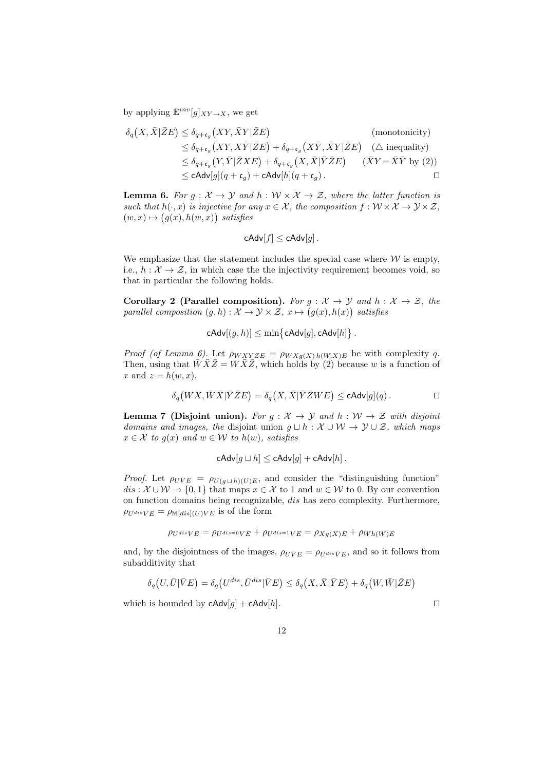by applying  $\mathbb{E}^{inv}[g]_{XY\to X}$ , we get

$$
\delta_q(X, \bar{X}|\bar{Z}E) \leq \delta_{q+\mathfrak{c}_g}(XY, \bar{X}Y|\bar{Z}E) \qquad \qquad \text{(monotonicity)}
$$
\n
$$
\leq \delta_{q+\mathfrak{c}_g}(XY, X\bar{Y}|\bar{Z}E) + \delta_{q+\mathfrak{c}_g}(X\bar{Y}, \bar{X}Y|\bar{Z}E) \quad (\triangle \text{ inequality})
$$
\n
$$
\leq \delta_{q+\mathfrak{c}_g}(Y, \bar{Y}|\bar{Z}XE) + \delta_{q+\mathfrak{c}_g}(X, \bar{X}|\bar{Y}\bar{Z}E) \qquad (\bar{X}Y = \bar{X}\bar{Y} \text{ by (2))}
$$
\n
$$
\leq \text{CAdv}[g](q+\mathfrak{c}_g) + \text{cAdv}[h](q+\mathfrak{c}_g).
$$

**Lemma 6.** For  $g : \mathcal{X} \to \mathcal{Y}$  and  $h : \mathcal{W} \times \mathcal{X} \to \mathcal{Z}$ , where the latter function is such that  $h(\cdot, x)$  is injective for any  $x \in \mathcal{X}$ , the composition  $f: \mathcal{W} \times \mathcal{X} \to \mathcal{Y} \times \mathcal{Z}$ ,  $(w, x) \mapsto (g(x), h(w, x))$  satisfies

$$
\mathsf{cAdv}[f] \leq \mathsf{cAdv}[g].
$$

We emphasize that the statement includes the special case where  $\mathcal W$  is empty, i.e.,  $h : \mathcal{X} \to \mathcal{Z}$ , in which case the the injectivity requirement becomes void, so that in particular the following holds.

Corollary 2 (Parallel composition). For  $g : \mathcal{X} \to \mathcal{Y}$  and  $h : \mathcal{X} \to \mathcal{Z}$ , the parallel composition  $(g,h): \mathcal{X} \to \mathcal{Y} \times \mathcal{Z}, x \mapsto (g(x),h(x))$  satisfies

$$
\mathsf{cAdv}[(g,h)] \le \min\{\mathsf{cAdv}[g], \mathsf{cAdv}[h]\}.
$$

Proof (of Lemma 6). Let  $\rho_{WXYZE} = \rho_{WXg(X)h(W,X)E}$  be with complexity q. Then, using that  $\overline{W}\overline{X}\overline{Z} = W\overline{X}\overline{Z}$ , which holds by (2) because w is a function of x and  $z = h(w, x)$ ,

$$
\delta_q(WX, \bar{W}\bar{X}|\bar{Y}\bar{Z}E) = \delta_q(X, \bar{X}|\bar{Y}\bar{Z}WE) \leq \mathsf{cAdv}[g](q).
$$

**Lemma 7 (Disjoint union).** For  $g : \mathcal{X} \to \mathcal{Y}$  and  $h : \mathcal{W} \to \mathcal{Z}$  with disjoint domains and images, the disjoint union  $g \sqcup h : \mathcal{X} \cup \mathcal{W} \rightarrow \mathcal{Y} \cup \mathcal{Z}$ , which maps  $x \in \mathcal{X}$  to  $g(x)$  and  $w \in \mathcal{W}$  to  $h(w)$ , satisfies

$$
\mathsf{cAdv}[g \sqcup h] \leq \mathsf{cAdv}[g] + \mathsf{cAdv}[h].
$$

*Proof.* Let  $\rho_{UVE} = \rho_{U(g \cup h)(U)E}$ , and consider the "distinguishing function"  $dis: \mathcal{X} \cup \mathcal{W} \rightarrow \{0,1\}$  that maps  $x \in \mathcal{X}$  to 1 and  $w \in \mathcal{W}$  to 0. By our convention on function domains being recognizable, dis has zero complexity. Furthermore,  $\rho_{U^{dis}VE} = \rho_{\mathbb{M}[dis](U)VE}$  is of the form

$$
\rho_{U^{dis}VE} = \rho_{U^{dis=0}VE} + \rho_{U^{dis=1}VE} = \rho_{Xg(X)E} + \rho_{Wh(W)E}
$$

and, by the disjointness of the images,  $\rho_{U\bar{V}E} = \rho_{U^{dis}\bar{V}E}$ , and so it follows from subadditivity that

$$
\delta_q\big(U,\bar{U}|\bar{V}E\big)=\delta_q\big(U^{dis},\bar{U}^{dis}|\bar{V}E\big)\leq \delta_q\big(X,\bar{X}|\bar{Y}E\big)+\delta_q\big(W,\bar{W}|\bar{Z}E\big)
$$

which is bounded by  $c\text{Adv}[g] + c\text{Adv}[h]$ .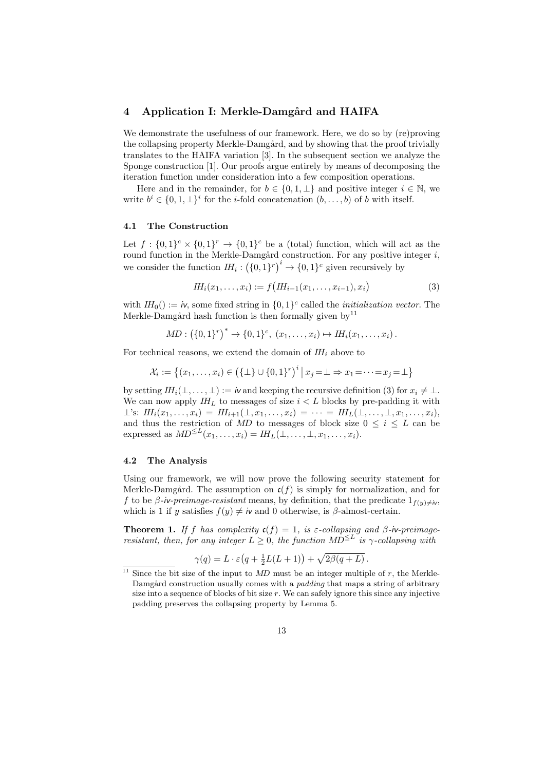### 4 Application I: Merkle-Damgård and HAIFA

We demonstrate the usefulness of our framework. Here, we do so by (re)proving the collapsing property Merkle-Damgård, and by showing that the proof trivially translates to the HAIFA variation [3]. In the subsequent section we analyze the Sponge construction [1]. Our proofs argue entirely by means of decomposing the iteration function under consideration into a few composition operations.

Here and in the remainder, for  $b \in \{0, 1, \perp\}$  and positive integer  $i \in \mathbb{N}$ , we write  $b^i \in \{0, 1, \perp\}^i$  for the *i*-fold concatenation  $(b, \ldots, b)$  of *b* with itself.

### 4.1 The Construction

Let  $f: \{0,1\}^c \times \{0,1\}^r \rightarrow \{0,1\}^c$  be a (total) function, which will act as the round function in the Merkle-Damgård construction. For any positive integer  $i$ , we consider the function  $IH_i: (\{0,1\}^r)^i \rightarrow \{0,1\}^c$  given recursively by

$$
IH_i(x_1, \ldots, x_i) := f\big(H_{i-1}(x_1, \ldots, x_{i-1}), x_i\big) \tag{3}
$$

with  $IH_0() := iv$ , some fixed string in  $\{0,1\}^c$  called the *initialization vector*. The Merkle-Damgård hash function is then formally given by<sup>11</sup>

 $MD: (\{0,1\}^r)^* \rightarrow \{0,1\}^c, (x_1,\ldots,x_i) \mapsto IH_i(x_1,\ldots,x_i).$ 

For technical reasons, we extend the domain of  $I\!H_i$  above to

$$
\mathcal{X}_i := \{(x_1, \ldots, x_i) \in (\{\bot\} \cup \{0, 1\}^r)^i \mid x_j = \bot \Rightarrow x_1 = \cdots = x_j = \bot\}
$$

by setting  $IH_i(\perp,\ldots,\perp) := i\nu$  and keeping the recursive definition (3) for  $x_i \neq \perp$ . We can now apply  $I H_L$  to messages of size  $i < L$  blocks by pre-padding it with  $\perp$ 's:  $IH_i(x_1,...,x_i) = IH_{i+1}(\perp, x_1,...,x_i) = \cdots = IH_L(\perp,...,\perp, x_1,...,x_i),$ and thus the restriction of MD to messages of block size  $0 \leq i \leq L$  can be expressed as  $MD^{\leq L}(x_1,\ldots,x_i) = I H_L(\perp,\ldots,\perp,x_1,\ldots,x_i).$ 

#### 4.2 The Analysis

Using our framework, we will now prove the following security statement for Merkle-Damgård. The assumption on  $c(f)$  is simply for normalization, and for f to be  $\beta$ -iv-preimage-resistant means, by definition, that the predicate  $1_{f(y)\neq iv}$ , which is 1 if y satisfies  $f(y) \neq iv$  and 0 otherwise, is  $\beta$ -almost-certain.

**Theorem 1.** If f has complexity  $c(f) = 1$ , is  $\varepsilon$ -collapsing and  $\beta$ -iv-preimageresistant, then, for any integer  $L \geq 0$ , the function  $MD^{\leq L}$  is  $\gamma$ -collapsing with

$$
\gamma(q) = L \cdot \varepsilon \left( q + \frac{1}{2} L(L+1) \right) + \sqrt{2\beta(q+L)}.
$$

<sup>&</sup>lt;sup>11</sup> Since the bit size of the input to  $MD$  must be an integer multiple of r, the Merkle-Damgård construction usually comes with a *padding* that maps a string of arbitrary size into a sequence of blocks of bit size  $r$ . We can safely ignore this since any injective padding preserves the collapsing property by Lemma 5.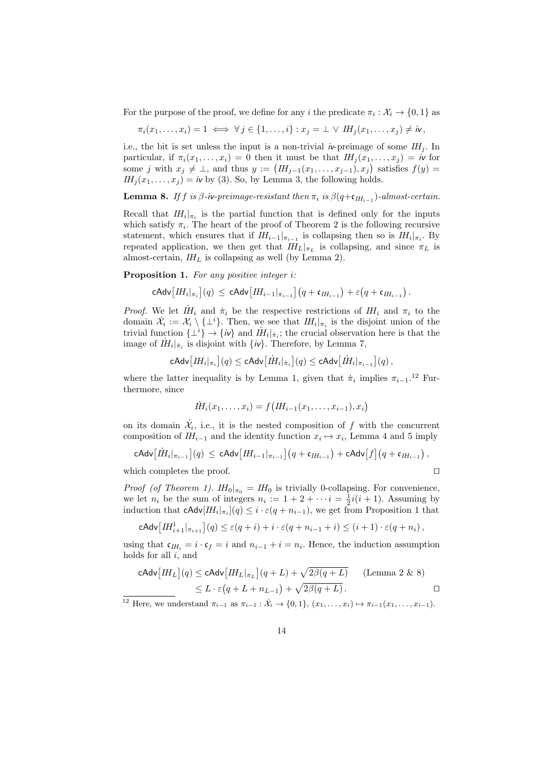For the purpose of the proof, we define for any i the predicate  $\pi_i : \mathcal{X}_i \to \{0,1\}$  as

$$
\pi_i(x_1,\ldots,x_i)=1 \iff \forall j\in\{1,\ldots,i\}: x_j=\bot \lor \mathit{IH}_j(x_1,\ldots,x_j)\neq i\lor,
$$

i.e., the bit is set unless the input is a non-trivial *iv*-preimage of some  $IH_i$ . In particular, if  $\pi_i(x_1, \ldots, x_i) = 0$  then it must be that  $IH_i(x_1, \ldots, x_i) = i\mathbf{v}$  for some j with  $x_j \neq \bot$ , and thus  $y := (H_{j-1}(x_1, \ldots, x_{j-1}), x_j)$  satisfies  $f(y) =$  $IH_i(x_1, \ldots, x_j) = i\nu$  by (3). So, by Lemma 3, the following holds.

**Lemma 8.** If f is  $\beta$ -iv-preimage-resistant then  $\pi_i$  is  $\beta(q+\mathfrak{c}_{H_{i-1}})$ -almost-certain.

Recall that  $H_i|_{\pi_i}$  is the partial function that is defined only for the inputs which satisfy  $\pi_i$ . The heart of the proof of Theorem 2 is the following recursive statement, which ensures that if  $H_{i-1}|_{\pi_{i-1}}$  is collapsing then so is  $H_{i}|_{\pi_{i}}$ . By repeated application, we then get that  $H_L|_{\pi_L}$  is collapsing, and since  $\pi_L$  is almost-certain,  $I H_L$  is collapsing as well (by Lemma 2).

Proposition 1. For any positive integer i:

$$
\mathsf{cAdv}\big[IH_i\big|_{\pi_i}\big](q) \leq \mathsf{cAdv}\big[IH_{i-1}\big|_{\pi_{i-1}}\big](q + \mathfrak{c}_{IH_{i-1}}) + \varepsilon\big(q + \mathfrak{c}_{IH_{i-1}}\big)\,.
$$

*Proof.* We let  $IH_i$  and  $\dot{\pi}_i$  be the respective restrictions of  $IH_i$  and  $\pi_i$  to the domain  $\dot{\mathcal{X}}_i := \mathcal{X}_i \setminus \{\perp^i\}$ . Then, we see that  $I H_i|_{\pi_i}$  is the disjoint union of the trivial function  $\{\perp^{i}\}\rightarrow\{iv\}$  and  $\dot{H}_{i}|_{\pi_{i}}$ ; the crucial observation here is that the image of  $\dot{H}_i|_{\dot{\pi}_i}$  is disjoint with  $\{\dot{W}\}\$ . Therefore, by Lemma 7,

$$
\mathsf{cAdv}\big[IH_i|_{\pi_i}\big](q) \leq \mathsf{cAdv}\big[IH_i|_{\pi_i}\big](q) \leq \mathsf{cAdv}\big[IH_i|_{\pi_{i-1}}\big](q)\,,
$$

where the latter inequality is by Lemma 1, given that  $\dot{\pi}_i$  implies  $\pi_{i-1}$ <sup>12</sup> Furthermore, since

$$
\dot{I}H_i(x_1,\ldots,x_i) = f\bigl( I H_{i-1}(x_1,\ldots,x_{i-1}),x_i \bigr)
$$

on its domain  $\dot{\mathcal{X}}_i$ , i.e., it is the nested composition of f with the concurrent composition of  $IH_{i-1}$  and the identity function  $x_i \mapsto x_i$ , Lemma 4 and 5 imply

$$
\mathsf{cAdv}\big[\dot{I}\dot{H}_i|_{\pi_{i-1}}\big](q) \, \leq \, \mathsf{cAdv}\big[\mathit{IH}_{i-1}|_{\pi_{i-1}}\big]\big(q+\mathfrak{c}_{\mathit{IH}_{i-1}}\big) + \mathsf{cAdv}\big[f\big]\big(q+\mathfrak{c}_{\mathit{IH}_{i-1}}\big)\,,
$$

which completes the proof.  $\Box$ 

*Proof (of Theorem 1).*  $IH_0|_{\pi_0} = IH_0$  is trivially 0-collapsing. For convenience, we let  $n_i$  be the sum of integers  $n_i := 1 + 2 + \cdots i = \frac{1}{2}i(i + 1)$ . Assuming by induction that  $\text{cAdv}[H_i|_{\pi_i}](q) \leq i \cdot \varepsilon(q + n_{i-1}),$  we get from Proposition 1 that

$$
\mathsf{cAdv}\big[IH_{i+1}^1|_{\pi_{i+1}}\big](q)\le\varepsilon(q+i)+i\cdot\varepsilon(q+n_{i-1}+i)\le (i+1)\cdot\varepsilon(q+n_i)\,,
$$

using that  $\mathfrak{c}_{IH_i} = i \cdot \mathfrak{c}_f = i$  and  $n_{i-1} + i = n_i$ . Hence, the induction assumption holds for all  $i$ , and

$$
\mathsf{cAdv}\big[IH_L\big](q) \leq \mathsf{cAdv}\big[IH_L\big|_{\pi_L}\big](q+L) + \sqrt{2\beta(q+L)} \qquad \text{(Lemma 2 \& 8)}
$$
\n
$$
\leq L \cdot \varepsilon\big(q+L+n_{L-1}\big) + \sqrt{2\beta(q+L)}.
$$

<sup>12</sup> Here, we understand  $\pi_{i-1}$  as  $\pi_{i-1} : \dot{\mathcal{X}}_i \to \{0,1\}, (x_1,\ldots,x_i) \mapsto \pi_{i-1}(x_1,\ldots,x_{i-1}).$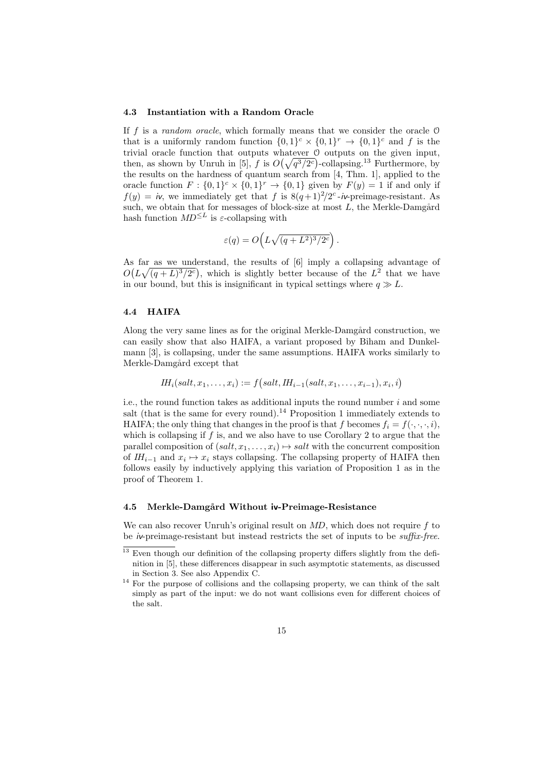#### 4.3 Instantiation with a Random Oracle

If f is a random oracle, which formally means that we consider the oracle  $\mathcal O$ that is a uniformly random function  $\{0,1\}^c \times \{0,1\}^r \rightarrow \{0,1\}^c$  and f is the trivial oracle function that outputs whatever O outputs on the given input, then, as shown by Unruh in [5], f is  $O(\sqrt{q^3/2^c})$ -collapsing.<sup>13</sup> Furthermore, by the results on the hardness of quantum search from [4, Thm. 1], applied to the oracle function  $F: \{0,1\}^c \times \{0,1\}^r \rightarrow \{0,1\}$  given by  $F(y) = 1$  if and only if  $f(y) = i\mathbf{v}$ , we immediately get that f is  $8(q+1)^2/2^c - i\mathbf{v}$ -preimage-resistant. As such, we obtain that for messages of block-size at most  $L$ , the Merkle-Damgård hash function  $MD^{\leq L}$  is  $\varepsilon$ -collapsing with

$$
\varepsilon(q) = O\Big(L\sqrt{(q+L^2)^3/2^c}\Big).
$$

As far as we understand, the results of [6] imply a collapsing advantage of  $O(L\sqrt{(q+L)^3/2^c})$ , which is slightly better because of the  $L^2$  that we have in our bound, but this is insignificant in typical settings where  $q \gg L$ .

### 4.4 HAIFA

Along the very same lines as for the original Merkle-Damgård construction, we can easily show that also HAIFA, a variant proposed by Biham and Dunkelmann [3], is collapsing, under the same assumptions. HAIFA works similarly to Merkle-Damgård except that

$$
IH_i(salt, x_1, \ldots, x_i) := f(salt, IH_{i-1}(salt, x_1, \ldots, x_{i-1}), x_i, i)
$$

i.e., the round function takes as additional inputs the round number  $i$  and some salt (that is the same for every round).<sup>14</sup> Proposition 1 immediately extends to HAIFA; the only thing that changes in the proof is that f becomes  $f_i = f(\cdot, \cdot, \cdot, i)$ , which is collapsing if  $f$  is, and we also have to use Corollary 2 to argue that the parallel composition of  $(salt, x_1, \ldots, x_i) \mapsto salt$  with the concurrent composition of  $I H_{i-1}$  and  $x_i \mapsto x_i$  stays collapsing. The collapsing property of HAIFA then follows easily by inductively applying this variation of Proposition 1 as in the proof of Theorem 1.

#### 4.5 Merkle-Damgård Without iv-Preimage-Resistance

We can also recover Unruh's original result on  $MD$ , which does not require f to be iv-preimage-resistant but instead restricts the set of inputs to be suffix-free.

<sup>&</sup>lt;sup>13</sup> Even though our definition of the collapsing property differs slightly from the definition in [5], these differences disappear in such asymptotic statements, as discussed in Section 3. See also Appendix C.

<sup>&</sup>lt;sup>14</sup> For the purpose of collisions and the collapsing property, we can think of the salt simply as part of the input: we do not want collisions even for different choices of the salt.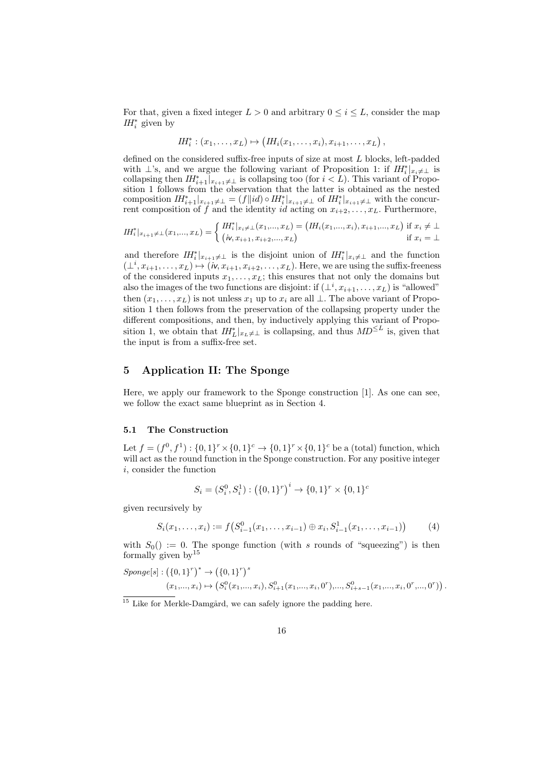For that, given a fixed integer  $L > 0$  and arbitrary  $0 \leq i \leq L$ , consider the map  $I H_i^*$  given by

$$
I\!H_i^*: (x_1,\ldots,x_L) \mapsto (I\!H_i(x_1,\ldots,x_i),x_{i+1},\ldots,x_L),
$$

defined on the considered suffix-free inputs of size at most L blocks, left-padded with  $\perp$ 's, and we argue the following variant of Proposition 1: if  $IH_i^*|_{x_i\neq\perp}$  is collapsing then  $IH_{i+1}^*|_{x_{i+1}\neq\perp}$  is collapsing too (for  $i < L$ ). This variant of Proposition 1 follows from the observation that the latter is obtained as the nested composition  $IH_{i+1}^*|_{x_{i+1}\neq\perp} = (f||id) \circ IH_i^*|_{x_{i+1}\neq\perp}$  of  $IH_i^*|_{x_{i+1}\neq\perp}$  with the concurrent composition of f and the identity id acting on  $x_{i+2}, \ldots, x_L$ . Furthermore,

$$
IH_{i}^{*}|_{x_{i+1}\neq\perp}(x_{1},...,x_{L}) = \begin{cases} IH_{i}^{*}|_{x_{i}\neq\perp}(x_{1},...,x_{L}) = (IH_{i}(x_{1},...,x_{i}),x_{i+1},...,x_{L}) & \text{if } x_{i} \neq \perp \\ (iv, x_{i+1}, x_{i+2},...,x_{L}) & \text{if } x_{i} = \perp \end{cases}
$$

and therefore  $I H_i^*|_{x_{i+1}\neq\perp}$  is the disjoint union of  $I H_i^*|_{x_i\neq\perp}$  and the function  $(\perp^i, x_{i+1}, \ldots, x_L) \mapsto (i\mathbf{v}, x_{i+1}, x_{i+2}, \ldots, x_L)$ . Here, we are using the suffix-freeness of the considered inputs  $x_1, \ldots, x_L$ ; this ensures that not only the domains but also the images of the two functions are disjoint: if  $(\perp^i, x_{i+1}, \ldots, x_L)$  is "allowed" then  $(x_1, \ldots, x_L)$  is not unless  $x_1$  up to  $x_i$  are all  $\perp$ . The above variant of Proposition 1 then follows from the preservation of the collapsing property under the different compositions, and then, by inductively applying this variant of Proposition 1, we obtain that  $I\!H_L^*|_{x_L\neq\perp}$  is collapsing, and thus  $MD^{\leq L}$  is, given that the input is from a suffix-free set.

# 5 Application II: The Sponge

Here, we apply our framework to the Sponge construction [1]. As one can see, we follow the exact same blueprint as in Section 4.

#### 5.1 The Construction

Let  $f = (f^0, f^1) : \{0, 1\}^r \times \{0, 1\}^c \to \{0, 1\}^r \times \{0, 1\}^c$  be a (total) function, which will act as the round function in the Sponge construction. For any positive integer i, consider the function

$$
S_i = (S_i^0, S_i^1) : (\{0, 1\}^r)^i \to \{0, 1\}^r \times \{0, 1\}^c
$$

given recursively by

$$
S_i(x_1,\ldots,x_i) := f(S_{i-1}^0(x_1,\ldots,x_{i-1}) \oplus x_i, S_{i-1}^1(x_1,\ldots,x_{i-1})) \tag{4}
$$

with  $S_0() := 0$ . The sponge function (with s rounds of "squeezing") is then formally given by  $15$ 

$$
Sponge[s] : (\{0,1\}^r)^* \to (\{0,1\}^r)^s
$$
  

$$
(x_1,...,x_i) \mapsto (S_i^0(x_1,...,x_i), S_{i+1}^0(x_1,...,x_i,0^r),..., S_{i+s-1}^0(x_1,...,x_i,0^r,...,0^r)).
$$

 $15$  Like for Merkle-Damgård, we can safely ignore the padding here.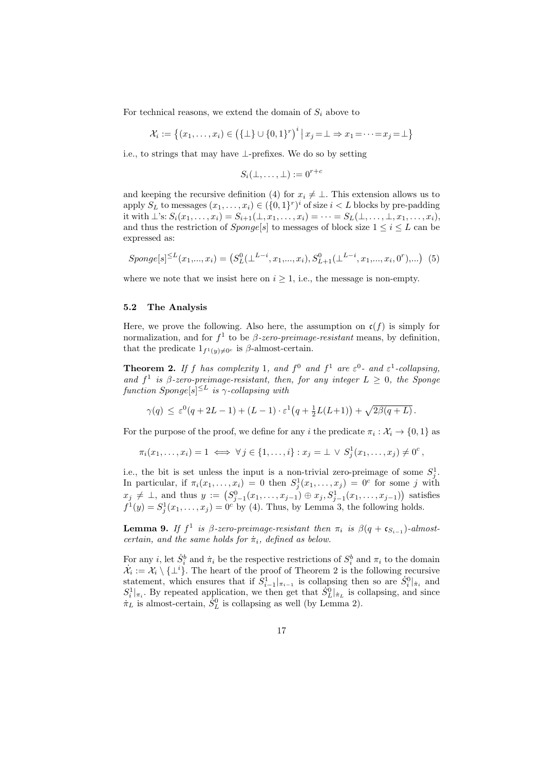For technical reasons, we extend the domain of  $S_i$  above to

$$
\mathcal{X}_i := \{(x_1, \dots, x_i) \in (\{\bot\} \cup \{0, 1\}^r)^i \mid x_j = \bot \Rightarrow x_1 = \dots = x_j = \bot\}
$$

i.e., to strings that may have ⊥-prefixes. We do so by setting

$$
S_i(\bot,\ldots,\bot):=0^{r+c}
$$

and keeping the recursive definition (4) for  $x_i \neq \bot$ . This extension allows us to apply  $S_L$  to messages  $(x_1, \ldots, x_i) \in (\{0,1\}^r)^i$  of size  $i < L$  blocks by pre-padding it with  $\perp$ 's:  $S_i(x_1,...,x_i) = S_{i+1}(\perp, x_1,...,x_i) = \cdots = S_L(\perp,...,\perp, x_1,...,x_i)$ , and thus the restriction of  $Sponge[s]$  to messages of block size  $1 \leq i \leq L$  can be expressed as:

$$
Sponge[s]^{\leq L}(x_1,...,x_i) = (S_L^0(\perp^{L-i}, x_1,...,x_i), S_{L+1}^0(\perp^{L-i}, x_1,...,x_i,0^r),...)
$$
 (5)

where we note that we insist here on  $i \geq 1$ , i.e., the message is non-empty.

### 5.2 The Analysis

Here, we prove the following. Also here, the assumption on  $c(f)$  is simply for normalization, and for  $f^1$  to be  $\beta$ -zero-preimage-resistant means, by definition, that the predicate  $1_{f^1(y)\neq 0^c}$  is  $\beta$ -almost-certain.

**Theorem 2.** If f has complexity 1, and  $f^0$  and  $f^1$  are  $\varepsilon^0$ - and  $\varepsilon^1$ -collapsing, and  $f^1$  is  $\beta$ -zero-preimage-resistant, then, for any integer  $L \geq 0$ , the Sponge  $\text{function } \text{Sponge}[s]^{\leq L} \text{ is } \gamma\text{-collapsing with}$ 

$$
\gamma(q) \leq \varepsilon^0(q+2L-1) + (L-1) \cdot \varepsilon^1\big(q + \frac{1}{2}L(L+1)\big) + \sqrt{2\beta(q+L)}\,.
$$

For the purpose of the proof, we define for any i the predicate  $\pi_i : \mathcal{X}_i \to \{0,1\}$  as

$$
\pi_i(x_1,\ldots,x_i)=1 \iff \forall j\in\{1,\ldots,i\}: x_j=\perp \vee S_j^1(x_1,\ldots,x_j)\neq 0^c,
$$

i.e., the bit is set unless the input is a non-trivial zero-preimage of some  $S_j^1$ . In particular, if  $\pi_i(x_1,\ldots,x_i) = 0$  then  $S_j^1(x_1,\ldots,x_j) = 0^c$  for some j with  $x_j \neq \bot$ , and thus  $y := (S_{j-1}^0(x_1, \ldots, x_{j-1}) \oplus x_j, S_{j-1}^1(x_1, \ldots, x_{j-1}))$  satisfies  $f^1(y) = S_j^1(x_1, \ldots, x_j) = 0^c$  by (4). Thus, by Lemma 3, the following holds.

**Lemma 9.** If  $f^1$  is  $\beta$ -zero-preimage-resistant then  $\pi_i$  is  $\beta(q + \mathfrak{c}_{S_{i-1}})$ -almostcertain, and the same holds for  $\dot{\pi}_i$ , defined as below.

For any *i*, let  $S_i^b$  and  $\pi_i$  be the respective restrictions of  $S_i^b$  and  $\pi_i$  to the domain  $\mathcal{X}_i := \mathcal{X}_i \setminus \{\perp^i\}.$  The heart of the proof of Theorem 2 is the following recursive statement, which ensures that if  $S_{i-1}^1|_{\pi_{i-1}}$  is collapsing then so are  $S_i^0|_{\pi_i}$  and  $S_i^1|_{\pi_i}$ . By repeated application, we then get that  $\dot{S}_L^0|_{\pi_L}$  is collapsing, and since  $\pi_L$  is almost-certain,  $\dot{S}_L^0$  is collapsing as well (by Lemma 2).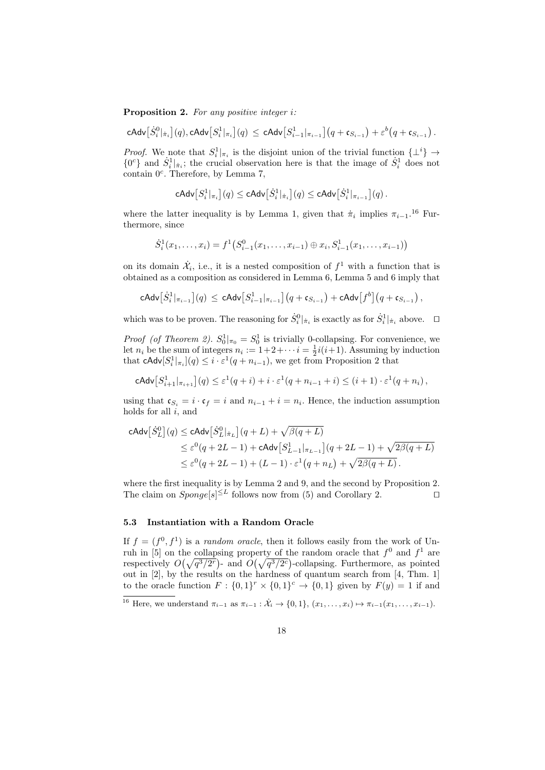Proposition 2. For any positive integer i:

$$
\mathsf{cAdv}\big[\dot{S}_i^0|_{\dot{\pi}_i}\big](q),\mathsf{cAdv}\big[S_i^1|_{\pi_i}\big](q) \leq \mathsf{cAdv}\big[S_{i-1}^1|_{\pi_{i-1}}\big](q+\mathfrak{c}_{S_{i-1}})+\varepsilon^b\big(q+\mathfrak{c}_{S_{i-1}}\big)\,.
$$

*Proof.* We note that  $S_i^1|_{\pi_i}$  is the disjoint union of the trivial function  $\{\perp^i\} \to$  ${0^c}$  and  $S_i^1|_{\pi_i}$ ; the crucial observation here is that the image of  $S_i^1$  does not contain  $0^c$ . Therefore, by Lemma 7,

$$
\operatorname{cAdv}\bigl[S_i^1\vert_{\pi_i}\bigr](q)\leq \operatorname{cAdv}\bigl[\dot{S}_i^1\vert_{\dot{\pi}_i}\bigr](q)\leq \operatorname{cAdv}\bigl[\dot{S}_i^1\vert_{\pi_{i-1}}\bigr](q)\,.
$$

where the latter inequality is by Lemma 1, given that  $\dot{\pi}_i$  implies  $\pi_{i-1}$ <sup>16</sup> Furthermore, since

$$
\dot{S}_i^1(x_1,\ldots,x_i) = f^1(S_{i-1}^0(x_1,\ldots,x_{i-1}) \oplus x_i, S_{i-1}^1(x_1,\ldots,x_{i-1}))
$$

on its domain  $\dot{\mathcal{X}}_i$ , i.e., it is a nested composition of  $f^1$  with a function that is obtained as a composition as considered in Lemma 6, Lemma 5 and 6 imply that

$$
\mathsf{cAdv}\big[\dot{S}_i^1|_{\pi_{i-1}}\big](q) \, \leq \, \mathsf{cAdv}\big[S_{i-1}^1|_{\pi_{i-1}}\big]\big(q + \mathfrak{c}_{S_{i-1}}\big) + \mathsf{cAdv}\big[f^b\big]\big(q + \mathfrak{c}_{S_{i-1}}\big)\,,
$$

which was to be proven. The reasoning for  $\dot{S}_i^0|_{\dot{\pi}_i}$  is exactly as for  $\dot{S}_i^1|_{\dot{\pi}_i}$  above.  $\Box$ 

*Proof (of Theorem 2)*.  $S_0^1|_{\pi_0} = S_0^1$  is trivially 0-collapsing. For convenience, we let  $n_i$  be the sum of integers  $n_i := 1 + 2 + \cdots i = \frac{1}{2}i(i+1)$ . Assuming by induction that  $\text{cAdv}[S_i^1 |_{\pi_i}](q) \leq i \cdot \varepsilon^1(q + n_{i-1}),$  we get from Proposition 2 that

 $\mathsf{cAdv}\big[S_{i+1}^1|_{\pi_{i+1}}\big](q) \leq \varepsilon^1(q+i) + i\cdot \varepsilon^1(q+n_{i-1}+i) \leq (i+1)\cdot \varepsilon^1(q+n_i)\,,$ 

using that  $\mathfrak{c}_{S_i} = i \cdot \mathfrak{c}_f = i$  and  $n_{i-1} + i = n_i$ . Hence, the induction assumption holds for all  $i$ , and

$$
\begin{aligned} \mathsf{cAdv}\big[\dot{S}^0_L\big](q) &\leq \mathsf{cAdv}\big[\dot{S}^0_L|_{\dot{\pi}_L}\big](q+L) + \sqrt{\beta(q+L)} \\ &\leq \varepsilon^0(q+2L-1) + \mathsf{cAdv}\big[S^1_{L-1}|_{\pi_{L-1}}\big](q+2L-1) + \sqrt{2\beta(q+L)} \\ &\leq \varepsilon^0(q+2L-1) + (L-1) \cdot \varepsilon^1\big(q+n_L\big) + \sqrt{2\beta(q+L)} \,. \end{aligned}
$$

where the first inequality is by Lemma 2 and 9, and the second by Proposition 2. The claim on  $Sponge[s]^{\leq L}$  follows now from (5) and Corollary 2.

#### 5.3 Instantiation with a Random Oracle

If  $f = (f^0, f^1)$  is a *random oracle*, then it follows easily from the work of Unruh in [5] on the collapsing property of the random oracle that  $f^0$  and  $f^1$  are respectively  $O(\sqrt{q^3/2^r})$ - and  $O(\sqrt{q^3/2^c})$ -collapsing. Furthermore, as pointed out in [2], by the results on the hardness of quantum search from [4, Thm. 1] to the oracle function  $F: \{0,1\}^r \times \{0,1\}^c \rightarrow \{0,1\}$  given by  $F(y) = 1$  if and

<sup>&</sup>lt;sup>16</sup> Here, we understand  $\pi_{i-1}$  as  $\pi_{i-1} : \dot{\mathcal{X}}_i \to \{0,1\}, (x_1,\ldots,x_i) \mapsto \pi_{i-1}(x_1,\ldots,x_{i-1}).$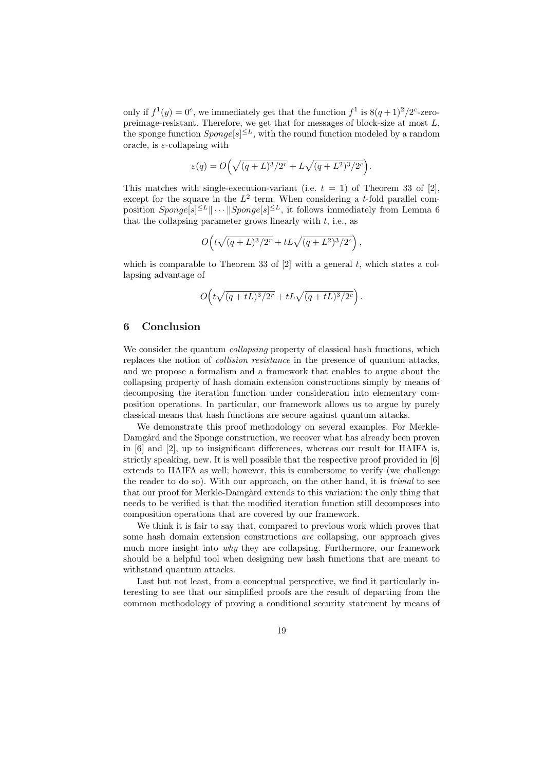only if  $f^1(y) = 0^c$ , we immediately get that the function  $f^1$  is  $8(q+1)^2/2^c$ -zeropreimage-resistant. Therefore, we get that for messages of block-size at most  $L$ , the sponge function  $Sponge[s]^{\leq L}$ , with the round function modeled by a random oracle, is  $\varepsilon$ -collapsing with

$$
\varepsilon(q) = O\left(\sqrt{(q+L)^3/2^r} + L\sqrt{(q+L^2)^3/2^c}\right).
$$

This matches with single-execution-variant (i.e.  $t = 1$ ) of Theorem 33 of [2], except for the square in the  $L^2$  term. When considering a t-fold parallel composition  $Sponge[s]^{\leq L} \|\cdots \| Sponge[s]^{\leq L}$ , it follows immediately from Lemma 6 that the collapsing parameter grows linearly with  $t$ , i.e., as

$$
O(t\sqrt{(q+L)^3/2^r} + tL\sqrt{(q+L^2)^3/2^c}),
$$

which is comparable to Theorem 33 of  $[2]$  with a general t, which states a collapsing advantage of

$$
O\left(t\sqrt{(q+tL)^3/2^r}+tL\sqrt{(q+tL)^3/2^c}\right).
$$

# 6 Conclusion

We consider the quantum *collapsing* property of classical hash functions, which replaces the notion of collision resistance in the presence of quantum attacks, and we propose a formalism and a framework that enables to argue about the collapsing property of hash domain extension constructions simply by means of decomposing the iteration function under consideration into elementary composition operations. In particular, our framework allows us to argue by purely classical means that hash functions are secure against quantum attacks.

We demonstrate this proof methodology on several examples. For Merkle-Damgård and the Sponge construction, we recover what has already been proven in [6] and [2], up to insignificant differences, whereas our result for HAIFA is, strictly speaking, new. It is well possible that the respective proof provided in [6] extends to HAIFA as well; however, this is cumbersome to verify (we challenge the reader to do so). With our approach, on the other hand, it is trivial to see that our proof for Merkle-Damgård extends to this variation: the only thing that needs to be verified is that the modified iteration function still decomposes into composition operations that are covered by our framework.

We think it is fair to say that, compared to previous work which proves that some hash domain extension constructions are collapsing, our approach gives much more insight into why they are collapsing. Furthermore, our framework should be a helpful tool when designing new hash functions that are meant to withstand quantum attacks.

Last but not least, from a conceptual perspective, we find it particularly interesting to see that our simplified proofs are the result of departing from the common methodology of proving a conditional security statement by means of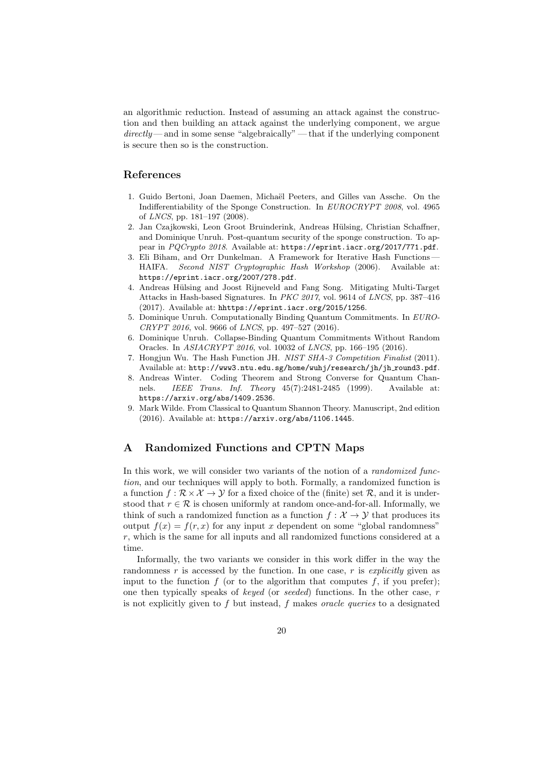an algorithmic reduction. Instead of assuming an attack against the construction and then building an attack against the underlying component, we argue  $directly$ —and in some sense "algebraically" — that if the underlying component is secure then so is the construction.

# References

- 1. Guido Bertoni, Joan Daemen, Michaël Peeters, and Gilles van Assche. On the Indifferentiability of the Sponge Construction. In EUROCRYPT 2008, vol. 4965 of LNCS, pp. 181–197 (2008).
- 2. Jan Czajkowski, Leon Groot Bruinderink, Andreas Hülsing, Christian Schaffner, and Dominique Unruh. Post-quantum security of the sponge construction. To appear in PQCrypto 2018. Available at: https://eprint.iacr.org/2017/771.pdf.
- 3. Eli Biham, and Orr Dunkelman. A Framework for Iterative Hash Functions HAIFA. Second NIST Cryptographic Hash Workshop (2006). Available at: https://eprint.iacr.org/2007/278.pdf.
- 4. Andreas Hülsing and Joost Rijneveld and Fang Song. Mitigating Multi-Target Attacks in Hash-based Signatures. In PKC 2017, vol. 9614 of LNCS, pp. 387–416 (2017). Available at: hhttps://eprint.iacr.org/2015/1256.
- 5. Dominique Unruh. Computationally Binding Quantum Commitments. In EURO-CRYPT 2016, vol. 9666 of LNCS, pp. 497–527 (2016).
- 6. Dominique Unruh. Collapse-Binding Quantum Commitments Without Random Oracles. In ASIACRYPT 2016, vol. 10032 of LNCS, pp. 166–195 (2016).
- 7. Hongjun Wu. The Hash Function JH. NIST SHA-3 Competition Finalist (2011). Available at: http://www3.ntu.edu.sg/home/wuhj/research/jh/jh round3.pdf.
- 8. Andreas Winter. Coding Theorem and Strong Converse for Quantum Channels. IEEE Trans. Inf. Theory 45(7):2481-2485 (1999). Available at: https://arxiv.org/abs/1409.2536.
- 9. Mark Wilde. From Classical to Quantum Shannon Theory. Manuscript, 2nd edition (2016). Available at: https://arxiv.org/abs/1106.1445.

# A Randomized Functions and CPTN Maps

In this work, we will consider two variants of the notion of a *randomized func*tion, and our techniques will apply to both. Formally, a randomized function is a function  $f : \mathcal{R} \times \mathcal{X} \to \mathcal{Y}$  for a fixed choice of the (finite) set  $\mathcal{R}$ , and it is understood that  $r \in \mathcal{R}$  is chosen uniformly at random once-and-for-all. Informally, we think of such a randomized function as a function  $f: \mathcal{X} \to \mathcal{Y}$  that produces its output  $f(x) = f(r, x)$  for any input x dependent on some "global randomness" r, which is the same for all inputs and all randomized functions considered at a time.

Informally, the two variants we consider in this work differ in the way the randomness  $r$  is accessed by the function. In one case,  $r$  is explicitly given as input to the function  $f$  (or to the algorithm that computes  $f$ , if you prefer); one then typically speaks of keyed (or seeded) functions. In the other case,  $r$ is not explicitly given to  $f$  but instead,  $f$  makes *oracle queries* to a designated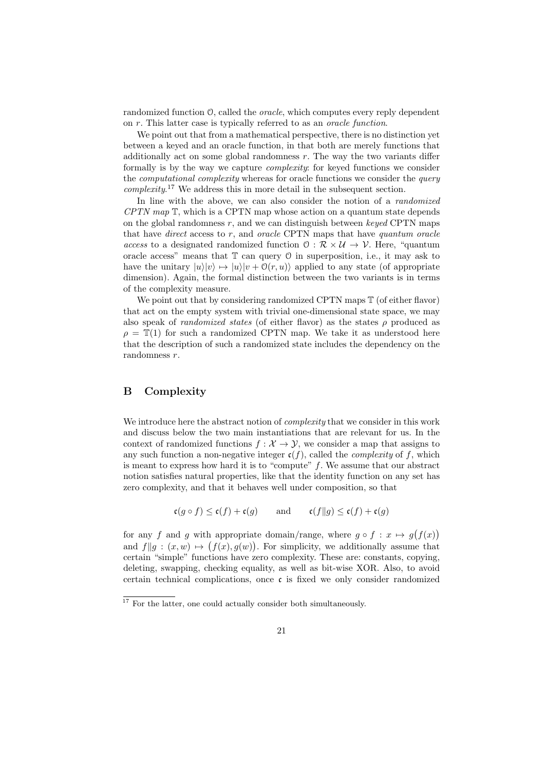randomized function  $\mathcal{O}$ , called the *oracle*, which computes every reply dependent on r. This latter case is typically referred to as an *oracle function*.

We point out that from a mathematical perspective, there is no distinction yet between a keyed and an oracle function, in that both are merely functions that additionally act on some global randomness r. The way the two variants differ formally is by the way we capture complexity: for keyed functions we consider the *computational complexity* whereas for oracle functions we consider the *query* complexity. <sup>17</sup> We address this in more detail in the subsequent section.

In line with the above, we can also consider the notion of a randomized  $CPTN$  map  $T$ , which is a CPTN map whose action on a quantum state depends on the global randomness  $r$ , and we can distinguish between keyed CPTN maps that have *direct* access to  $r$ , and *oracle* CPTN maps that have *quantum oracle* access to a designated randomized function  $0 : \mathcal{R} \times \mathcal{U} \rightarrow \mathcal{V}$ . Here, "quantum oracle access" means that  $\mathbb T$  can query  $\mathcal O$  in superposition, i.e., it may ask to have the unitary  $|u\rangle|v\rangle \mapsto |u\rangle|v + \mathcal{O}(r, u)$  applied to any state (of appropriate dimension). Again, the formal distinction between the two variants is in terms of the complexity measure.

We point out that by considering randomized CPTN maps  $\mathbb T$  (of either flavor) that act on the empty system with trivial one-dimensional state space, we may also speak of *randomized states* (of either flavor) as the states  $\rho$  produced as  $\rho = \mathbb{T}(1)$  for such a randomized CPTN map. We take it as understood here that the description of such a randomized state includes the dependency on the randomness r.

# B Complexity

We introduce here the abstract notion of *complexity* that we consider in this work and discuss below the two main instantiations that are relevant for us. In the context of randomized functions  $f : \mathcal{X} \to \mathcal{Y}$ , we consider a map that assigns to any such function a non-negative integer  $c(f)$ , called the *complexity* of f, which is meant to express how hard it is to "compute"  $f$ . We assume that our abstract notion satisfies natural properties, like that the identity function on any set has zero complexity, and that it behaves well under composition, so that

$$
\mathfrak{c}(g \circ f) \leq \mathfrak{c}(f) + \mathfrak{c}(g)
$$
 and  $\mathfrak{c}(f||g) \leq \mathfrak{c}(f) + \mathfrak{c}(g)$ 

for any f and g with appropriate domain/range, where  $g \circ f : x \mapsto g(f(x))$ and  $f||g : (x, w) \mapsto (f(x), g(w))$ . For simplicity, we additionally assume that certain "simple" functions have zero complexity. These are: constants, copying, deleting, swapping, checking equality, as well as bit-wise XOR. Also, to avoid certain technical complications, once  $\mathfrak c$  is fixed we only consider randomized

 $17$  For the latter, one could actually consider both simultaneously.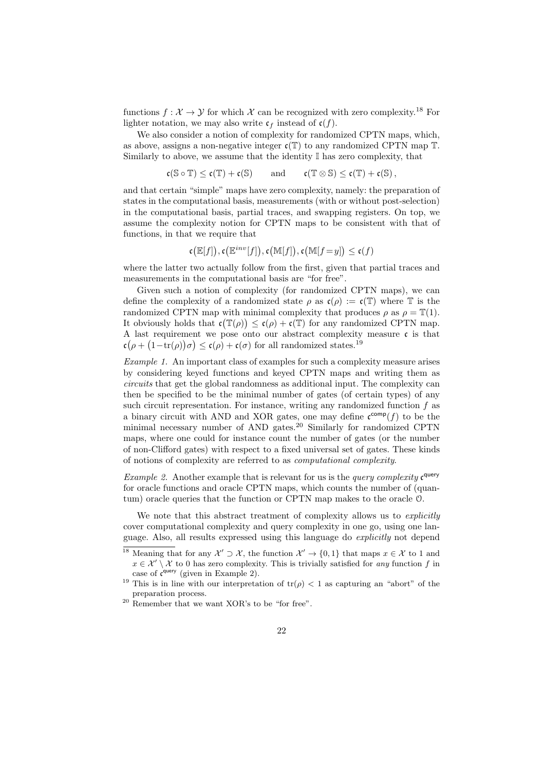functions  $f: \mathcal{X} \to \mathcal{Y}$  for which X can be recognized with zero complexity.<sup>18</sup> For lighter notation, we may also write  $\mathfrak{c}_f$  instead of  $\mathfrak{c}(f)$ .

We also consider a notion of complexity for randomized CPTN maps, which, as above, assigns a non-negative integer  $\mathfrak{c}(\mathbb{T})$  to any randomized CPTN map  $\mathbb{T}$ . Similarly to above, we assume that the identity I has zero complexity, that

 $\mathfrak{c}(\mathbb{S} \circ \mathbb{T}) \leq \mathfrak{c}(\mathbb{T}) + \mathfrak{c}(\mathbb{S})$  and  $\mathfrak{c}(\mathbb{T} \otimes \mathbb{S}) \leq \mathfrak{c}(\mathbb{T}) + \mathfrak{c}(\mathbb{S}),$ 

and that certain "simple" maps have zero complexity, namely: the preparation of states in the computational basis, measurements (with or without post-selection) in the computational basis, partial traces, and swapping registers. On top, we assume the complexity notion for CPTN maps to be consistent with that of functions, in that we require that

$$
\mathfrak{c}(\mathbb{E}[f]), \mathfrak{c}(\mathbb{E}^{inv}[f]), \mathfrak{c}(\mathbb{M}[f]), \mathfrak{c}(\mathbb{M}[f = y]) \leq \mathfrak{c}(f)
$$

where the latter two actually follow from the first, given that partial traces and measurements in the computational basis are "for free".

Given such a notion of complexity (for randomized CPTN maps), we can define the complexity of a randomized state  $\rho$  as  $\mathfrak{c}(\rho) := \mathfrak{c}(\mathbb{T})$  where  $\mathbb T$  is the randomized CPTN map with minimal complexity that produces  $\rho$  as  $\rho = \mathbb{T}(1)$ . It obviously holds that  $\mathfrak{c}(\mathbb{T}(\rho)) \leq \mathfrak{c}(\rho) + \mathfrak{c}(\mathbb{T})$  for any randomized CPTN map. A last requirement we pose onto our abstract complexity measure  $\mathfrak c$  is that  $\mathfrak{c}(\rho + (1-\text{tr}(\rho))\sigma) \leq \mathfrak{c}(\rho) + \mathfrak{c}(\sigma)$  for all randomized states.<sup>19</sup>

Example 1. An important class of examples for such a complexity measure arises by considering keyed functions and keyed CPTN maps and writing them as circuits that get the global randomness as additional input. The complexity can then be specified to be the minimal number of gates (of certain types) of any such circuit representation. For instance, writing any randomized function  $f$  as a binary circuit with AND and XOR gates, one may define  $\mathfrak{c}^{\text{comp}}(f)$  to be the minimal necessary number of AND gates.<sup>20</sup> Similarly for randomized CPTN maps, where one could for instance count the number of gates (or the number of non-Clifford gates) with respect to a fixed universal set of gates. These kinds of notions of complexity are referred to as computational complexity.

*Example 2.* Another example that is relevant for us is the *query complexity*  $\mathfrak{c}^{\text{query}}$ for oracle functions and oracle CPTN maps, which counts the number of (quantum) oracle queries that the function or CPTN map makes to the oracle O.

We note that this abstract treatment of complexity allows us to *explicitly* cover computational complexity and query complexity in one go, using one language. Also, all results expressed using this language do explicitly not depend

<sup>&</sup>lt;sup>18</sup> Meaning that for any  $\mathcal{X}' \supset \mathcal{X}$ , the function  $\mathcal{X}' \to \{0,1\}$  that maps  $x \in \mathcal{X}$  to 1 and  $x \in \mathcal{X}' \setminus \mathcal{X}$  to 0 has zero complexity. This is trivially satisfied for any function f in case of  $\mathfrak{c}^{\text{query}}$  (given in Example 2).

<sup>&</sup>lt;sup>19</sup> This is in line with our interpretation of  $tr(\rho) < 1$  as capturing an "abort" of the preparation process.

 $20 \text{ Remember that we want XOR's to be "for free".}$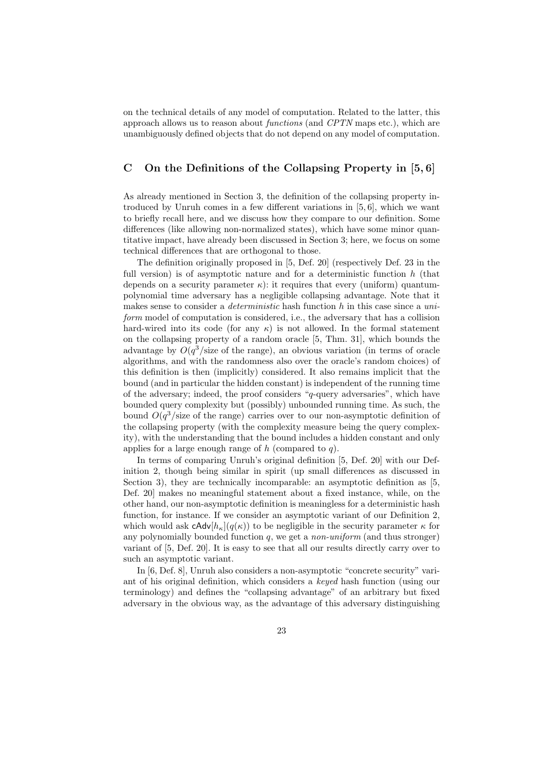on the technical details of any model of computation. Related to the latter, this approach allows us to reason about functions (and CPTN maps etc.), which are unambiguously defined objects that do not depend on any model of computation.

# C On the Definitions of the Collapsing Property in [5, 6]

As already mentioned in Section 3, the definition of the collapsing property introduced by Unruh comes in a few different variations in [5, 6], which we want to briefly recall here, and we discuss how they compare to our definition. Some differences (like allowing non-normalized states), which have some minor quantitative impact, have already been discussed in Section 3; here, we focus on some technical differences that are orthogonal to those.

The definition originally proposed in [5, Def. 20] (respectively Def. 23 in the full version) is of asymptotic nature and for a deterministic function  $h$  (that depends on a security parameter  $\kappa$ ): it requires that every (uniform) quantumpolynomial time adversary has a negligible collapsing advantage. Note that it makes sense to consider a *deterministic* hash function h in this case since a *uni*form model of computation is considered, i.e., the adversary that has a collision hard-wired into its code (for any  $\kappa$ ) is not allowed. In the formal statement on the collapsing property of a random oracle [5, Thm. 31], which bounds the advantage by  $O(q^3/\text{size of the range})$ , an obvious variation (in terms of oracle algorithms, and with the randomness also over the oracle's random choices) of this definition is then (implicitly) considered. It also remains implicit that the bound (and in particular the hidden constant) is independent of the running time of the adversary; indeed, the proof considers " $q$ -query adversaries", which have bounded query complexity but (possibly) unbounded running time. As such, the bound  $O(q^3/\text{size of the range})$  carries over to our non-asymptotic definition of the collapsing property (with the complexity measure being the query complexity), with the understanding that the bound includes a hidden constant and only applies for a large enough range of  $h$  (compared to  $q$ ).

In terms of comparing Unruh's original definition [5, Def. 20] with our Definition 2, though being similar in spirit (up small differences as discussed in Section 3), they are technically incomparable: an asymptotic definition as [5, Def. 20] makes no meaningful statement about a fixed instance, while, on the other hand, our non-asymptotic definition is meaningless for a deterministic hash function, for instance. If we consider an asymptotic variant of our Definition 2, which would ask  $c\text{Adv}[h_{\kappa}](q(\kappa))$  to be negligible in the security parameter  $\kappa$  for any polynomially bounded function  $q$ , we get a *non-uniform* (and thus stronger) variant of [5, Def. 20]. It is easy to see that all our results directly carry over to such an asymptotic variant.

In [6, Def. 8], Unruh also considers a non-asymptotic "concrete security" variant of his original definition, which considers a keyed hash function (using our terminology) and defines the "collapsing advantage" of an arbitrary but fixed adversary in the obvious way, as the advantage of this adversary distinguishing